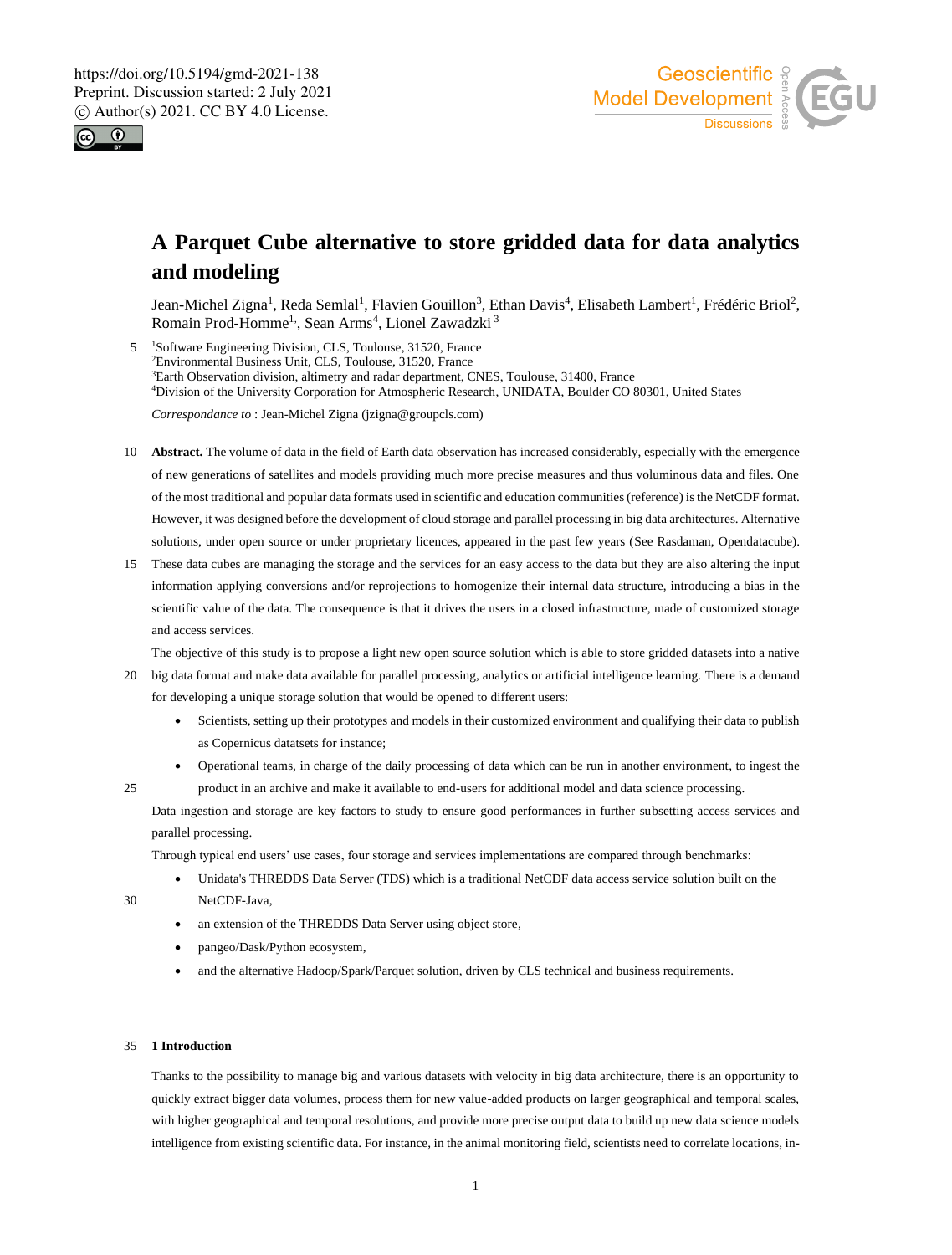



# **A Parquet Cube alternative to store gridded data for data analytics and modeling**

Jean-Michel Zigna<sup>1</sup>, Reda Semlal<sup>1</sup>, Flavien Gouillon<sup>3</sup>, Ethan Davis<sup>4</sup>, Elisabeth Lambert<sup>1</sup>, Frédéric Briol<sup>2</sup>, Romain Prod-Homme<sup>1,</sup>, Sean Arms<sup>4</sup>, Lionel Zawadzki<sup>3</sup>

5 <sup>1</sup>Software Engineering Division, CLS, Toulouse, 31520, France Environmental Business Unit, CLS, Toulouse, 31520, France Earth Observation division, altimetry and radar department, CNES, Toulouse, 31400, France Division of the University Corporation for Atmospheric Research, UNIDATA, Boulder CO 80301, United States

*Correspondance to* : Jean-Michel Zigna (jzigna@groupcls.com)

- 10 **Abstract.** The volume of data in the field of Earth data observation has increased considerably, especially with the emergence of new generations of satellites and models providing much more precise measures and thus voluminous data and files. One of the most traditional and popular data formats used in scientific and education communities (reference) is the NetCDF format. However, it was designed before the development of cloud storage and parallel processing in big data architectures. Alternative solutions, under open source or under proprietary licences, appeared in the past few years (See Rasdaman, Opendatacube).
- 15 These data cubes are managing the storage and the services for an easy access to the data but they are also altering the input information applying conversions and/or reprojections to homogenize their internal data structure, introducing a bias in the scientific value of the data. The consequence is that it drives the users in a closed infrastructure, made of customized storage and access services.

The objective of this study is to propose a light new open source solution which is able to store gridded datasets into a native

- 20 big data format and make data available for parallel processing, analytics or artificial intelligence learning. There is a demand for developing a unique storage solution that would be opened to different users:
	- Scientists, setting up their prototypes and models in their customized environment and qualifying their data to publish as Copernicus datatsets for instance;
- Operational teams, in charge of the daily processing of data which can be run in another environment, to ingest the 25 product in an archive and make it available to end-users for additional model and data science processing.

Data ingestion and storage are key factors to study to ensure good performances in further subsetting access services and parallel processing.

Through typical end users' use cases, four storage and services implementations are compared through benchmarks:

• Unidata's THREDDS Data Server (TDS) which is a traditional NetCDF data access service solution built on the 30 NetCDF-Java,

- an extension of the THREDDS Data Server using object store,
- pangeo/Dask/Python ecosystem,
- and the alternative Hadoop/Spark/Parquet solution, driven by CLS technical and business requirements.

# 35 **1 Introduction**

Thanks to the possibility to manage big and various datasets with velocity in big data architecture, there is an opportunity to quickly extract bigger data volumes, process them for new value-added products on larger geographical and temporal scales, with higher geographical and temporal resolutions, and provide more precise output data to build up new data science models intelligence from existing scientific data. For instance, in the animal monitoring field, scientists need to correlate locations, in-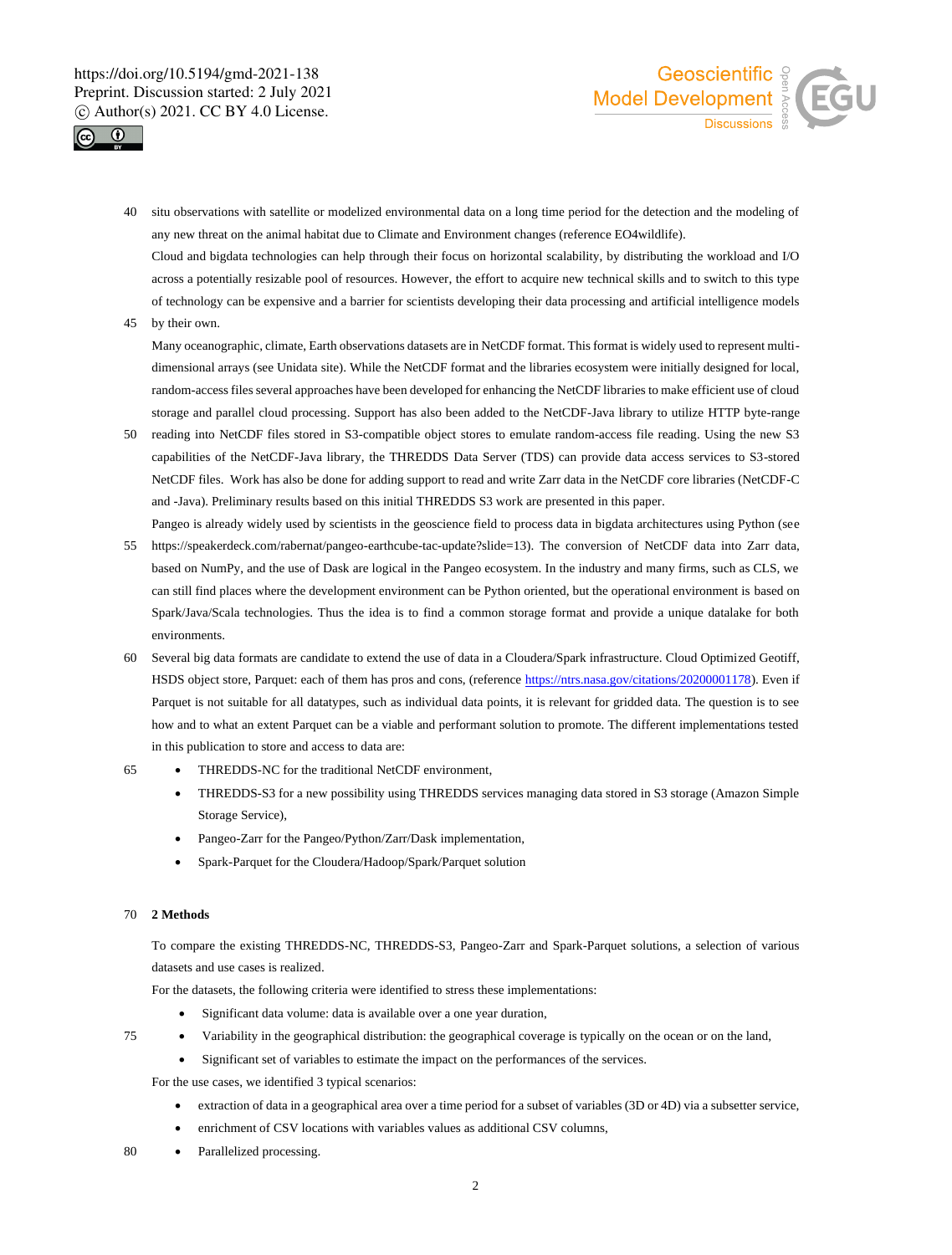



40 situ observations with satellite or modelized environmental data on a long time period for the detection and the modeling of any new threat on the animal habitat due to Climate and Environment changes (reference EO4wildlife).

Cloud and bigdata technologies can help through their focus on horizontal scalability, by distributing the workload and I/O across a potentially resizable pool of resources. However, the effort to acquire new technical skills and to switch to this type of technology can be expensive and a barrier for scientists developing their data processing and artificial intelligence models

45 by their own.

Many oceanographic, climate, Earth observations datasets are in NetCDF format. This format is widely used to represent multidimensional arrays (see Unidata site). While the NetCDF format and the libraries ecosystem were initially designed for local, random-access files several approaches have been developed for enhancing the NetCDF libraries to make efficient use of cloud storage and parallel cloud processing. Support has also been added to the NetCDF-Java library to utilize HTTP byte-range

- 50 reading into NetCDF files stored in S3-compatible object stores to emulate random-access file reading. Using the new S3 capabilities of the NetCDF-Java library, the THREDDS Data Server (TDS) can provide data access services to S3-stored NetCDF files. Work has also be done for adding support to read and write Zarr data in the NetCDF core libraries (NetCDF-C and -Java). Preliminary results based on this initial THREDDS S3 work are presented in this paper.
- Pangeo is already widely used by scientists in the geoscience field to process data in bigdata architectures using Python (see 55 https://speakerdeck.com/rabernat/pangeo-earthcube-tac-update?slide=13). The conversion of NetCDF data into Zarr data, based on NumPy, and the use of Dask are logical in the Pangeo ecosystem. In the industry and many firms, such as CLS, we can still find places where the development environment can be Python oriented, but the operational environment is based on Spark/Java/Scala technologies. Thus the idea is to find a common storage format and provide a unique datalake for both environments.
- 60 Several big data formats are candidate to extend the use of data in a Cloudera/Spark infrastructure. Cloud Optimized Geotiff, HSDS object store, Parquet: each of them has pros and cons, (reference https://ntrs.nasa.gov/citations/20200001178). Even if Parquet is not suitable for all datatypes, such as individual data points, it is relevant for gridded data. The question is to see how and to what an extent Parquet can be a viable and performant solution to promote. The different implementations tested in this publication to store and access to data are:
- 65 THREDDS-NC for the traditional NetCDF environment,
	- THREDDS-S3 for a new possibility using THREDDS services managing data stored in S3 storage (Amazon Simple Storage Service),
	- Pangeo-Zarr for the Pangeo/Python/Zarr/Dask implementation,
	- Spark-Parquet for the Cloudera/Hadoop/Spark/Parquet solution

### 70 **2 Methods**

To compare the existing THREDDS-NC, THREDDS-S3, Pangeo-Zarr and Spark-Parquet solutions, a selection of various datasets and use cases is realized.

For the datasets, the following criteria were identified to stress these implementations:

- Significant data volume: data is available over a one year duration,
- 75 Variability in the geographical distribution: the geographical coverage is typically on the ocean or on the land,
	- Significant set of variables to estimate the impact on the performances of the services.

For the use cases, we identified 3 typical scenarios:

- extraction of data in a geographical area over a time period for a subset of variables (3D or 4D) via a subsetter service,
- enrichment of CSV locations with variables values as additional CSV columns,
- 80 Parallelized processing.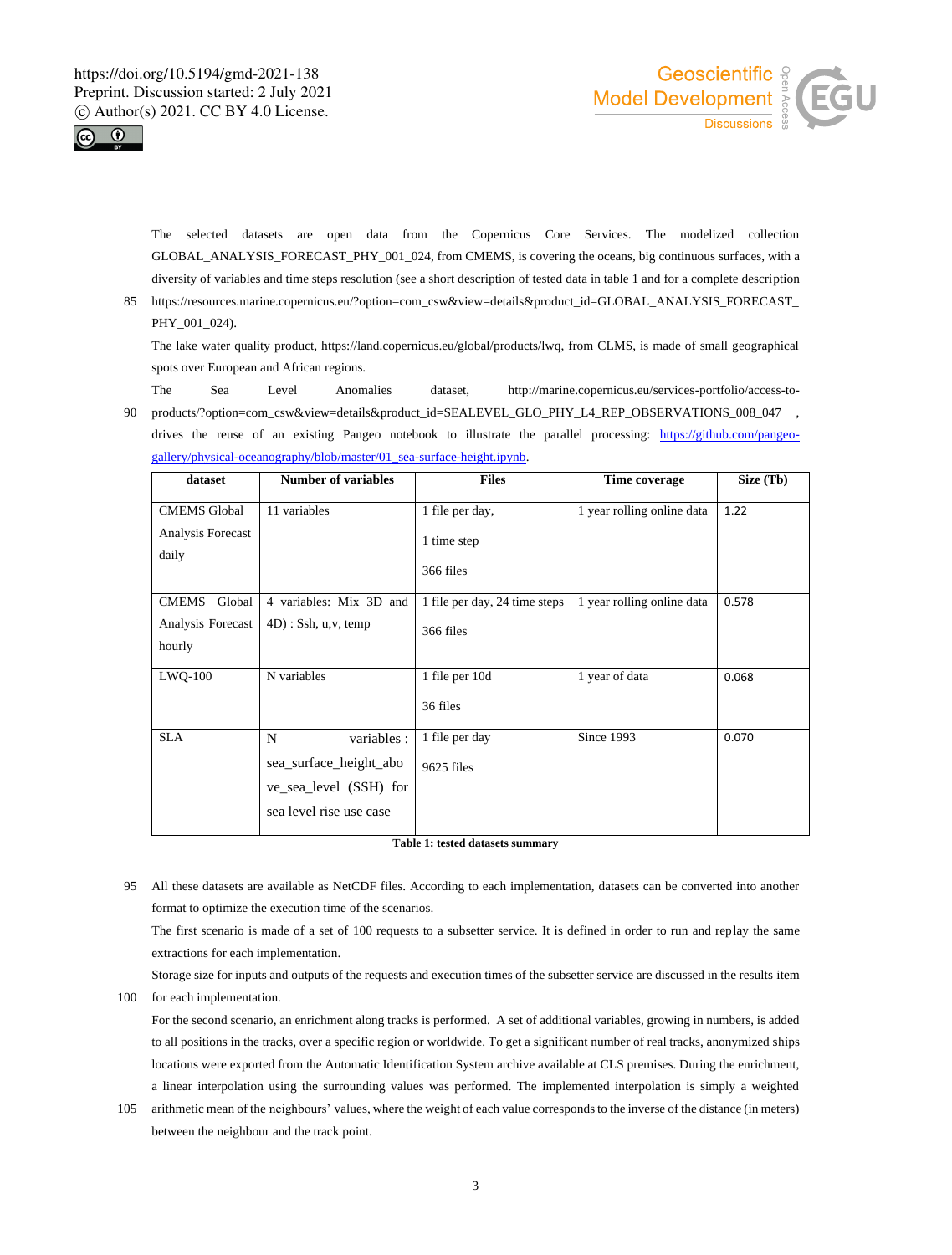



The selected datasets are open data from the Copernicus Core Services. The modelized collection GLOBAL\_ANALYSIS\_FORECAST\_PHY\_001\_024, from CMEMS, is covering the oceans, big continuous surfaces, with a diversity of variables and time steps resolution (see a short description of tested data in table 1 and for a complete description

85 https://resources.marine.copernicus.eu/?option=com\_csw&view=details&product\_id=GLOBAL\_ANALYSIS\_FORECAST\_ PHY 001 024).

The lake water quality product, https://land.copernicus.eu/global/products/lwq, from CLMS, is made of small geographical spots over European and African regions.

The Sea Level Anomalies dataset, http://marine.copernicus.eu/services-portfolio/access-to-90 products/?option=com\_csw&view=details&product\_id=SEALEVEL\_GLO\_PHY\_L4\_REP\_OBSERVATIONS\_008\_047 , drives the reuse of an existing Pangeo notebook to illustrate the parallel processing: https://github.com/pangeo-

| dataset                                               | <b>Number of variables</b>                                                                      | <b>Files</b>                                | Time coverage              | Size (Tb) |
|-------------------------------------------------------|-------------------------------------------------------------------------------------------------|---------------------------------------------|----------------------------|-----------|
| <b>CMEMS</b> Global<br>Analysis Forecast<br>daily     | 11 variables                                                                                    | 1 file per day,<br>1 time step<br>366 files | 1 year rolling online data | 1.22      |
| <b>CMEMS</b><br>Global<br>Analysis Forecast<br>hourly | 4 variables: Mix 3D and<br>$4D$ : Ssh, u,v, temp                                                | 1 file per day, 24 time steps<br>366 files  | 1 year rolling online data | 0.578     |
| $LWO-100$                                             | N variables                                                                                     | 1 file per 10d<br>36 files                  | 1 year of data             | 0.068     |
| <b>SLA</b>                                            | N<br>variables :<br>sea surface height abo<br>ve_sea_level (SSH) for<br>sea level rise use case | 1 file per day<br>9625 files                | Since 1993                 | 0.070     |

gallery/physical-oceanography/blob/master/01\_sea-surface-height.ipynb.

**Table 1: tested datasets summary**

95 All these datasets are available as NetCDF files. According to each implementation, datasets can be converted into another format to optimize the execution time of the scenarios.

The first scenario is made of a set of 100 requests to a subsetter service. It is defined in order to run and replay the same extractions for each implementation.

Storage size for inputs and outputs of the requests and execution times of the subsetter service are discussed in the results item 100 for each implementation.

For the second scenario, an enrichment along tracks is performed. A set of additional variables, growing in numbers, is added to all positions in the tracks, over a specific region or worldwide. To get a significant number of real tracks, anonymized ships locations were exported from the Automatic Identification System archive available at CLS premises. During the enrichment, a linear interpolation using the surrounding values was performed. The implemented interpolation is simply a weighted

105 arithmetic mean of the neighbours' values, where the weight of each value corresponds to the inverse of the distance (in meters) between the neighbour and the track point.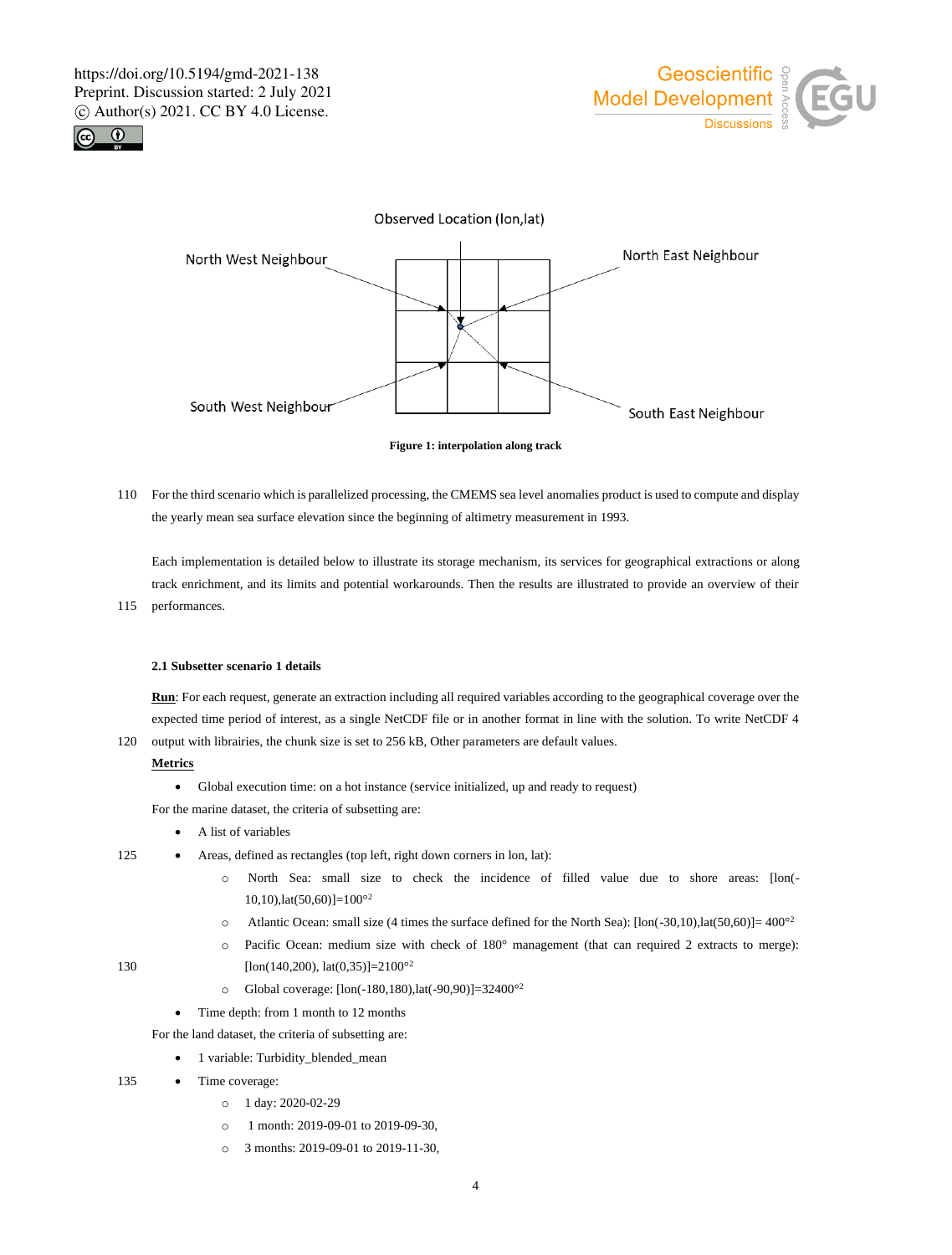





**Figure 1: interpolation along track**

110 For the third scenario which is parallelized processing, the CMEMS sea level anomalies product is used to compute and display the yearly mean sea surface elevation since the beginning of altimetry measurement in 1993.

Each implementation is detailed below to illustrate its storage mechanism, its services for geographical extractions or along track enrichment, and its limits and potential workarounds. Then the results are illustrated to provide an overview of their 115 performances.

### **2.1 Subsetter scenario 1 details**

**Run**: For each request, generate an extraction including all required variables according to the geographical coverage over the expected time period of interest, as a single NetCDF file or in another format in line with the solution. To write NetCDF 4

120 output with librairies, the chunk size is set to 256 kB, Other parameters are default values.

# **Metrics**

• Global execution time: on a hot instance (service initialized, up and ready to request)

For the marine dataset, the criteria of subsetting are:

# • A list of variables

125 • Areas, defined as rectangles (top left, right down corners in lon, lat):

- o North Sea: small size to check the incidence of filled value due to shore areas: [lon(-  $10,10$ ),lat $(50,60)$ ]= $100^{\circ2}$
- o Atlantic Ocean: small size (4 times the surface defined for the North Sea): [lon(-30,10),lat(50,60)]= 400°<sup>2</sup>
- o Pacific Ocean: medium size with check of 180° management (that can required 2 extracts to merge): 130 [ $\text{lon}(140,200)$ ,  $\text{lat}(0,35)$ ]=2100<sup>o2</sup>
- 
- o Global coverage: [lon(-180,180),lat(-90,90)]=32400°<sup>2</sup>
- Time depth: from 1 month to 12 months

For the land dataset, the criteria of subsetting are:

- 1 variable: Turbidity\_blended\_mean
- 135 Time coverage:
	- o 1 day: 2020-02-29
	- o 1 month: 2019-09-01 to 2019-09-30,
	- o 3 months: 2019-09-01 to 2019-11-30,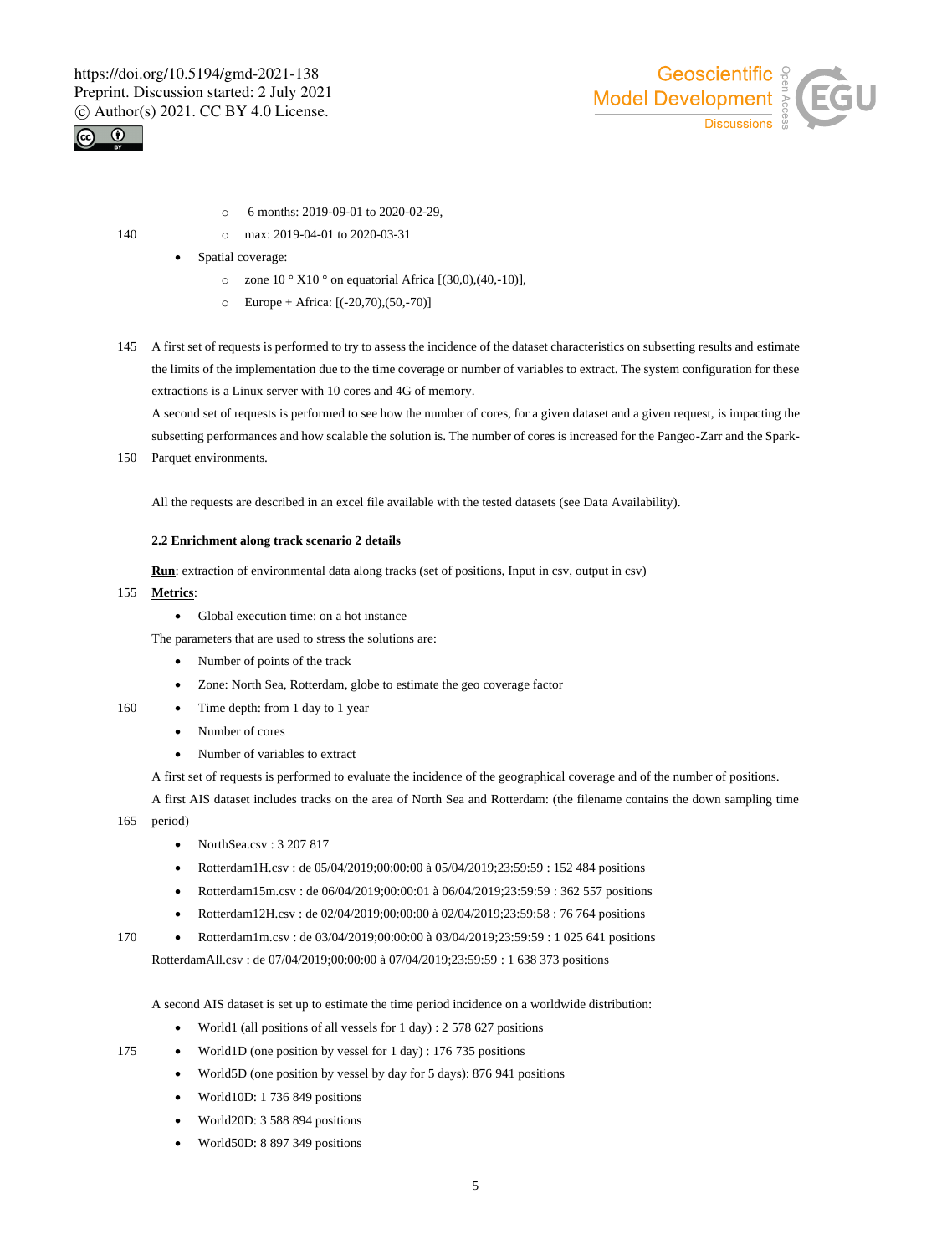



- o 6 months: 2019-09-01 to 2020-02-29,
- 140 **o** max: 2019-04-01 to 2020-03-31
	- Spatial coverage:
		- $\circ$  zone 10 ° X10 ° on equatorial Africa [(30,0),(40,-10)],
		- o Europe + Africa: [(-20,70),(50,-70)]
- 145 A first set of requests is performed to try to assess the incidence of the dataset characteristics on subsetting results and estimate the limits of the implementation due to the time coverage or number of variables to extract. The system configuration for these extractions is a Linux server with 10 cores and 4G of memory.

A second set of requests is performed to see how the number of cores, for a given dataset and a given request, is impacting the subsetting performances and how scalable the solution is. The number of cores is increased for the Pangeo-Zarr and the Spark-

150 Parquet environments.

All the requests are described in an excel file available with the tested datasets (see Data Availability).

# **2.2 Enrichment along track scenario 2 details**

**Run**: extraction of environmental data along tracks (set of positions, Input in csv, output in csv)

- 155 **Metrics**:
	- Global execution time: on a hot instance

The parameters that are used to stress the solutions are:

- Number of points of the track
- Zone: North Sea, Rotterdam, globe to estimate the geo coverage factor
- 160 Time depth: from 1 day to 1 year
	- Number of cores
	- Number of variables to extract

A first set of requests is performed to evaluate the incidence of the geographical coverage and of the number of positions.

A first AIS dataset includes tracks on the area of North Sea and Rotterdam: (the filename contains the down sampling time

- 165 period)
	- NorthSea.csv: 3 207 817
	- Rotterdam1H.csv : de 05/04/2019;00:00:00 à 05/04/2019;23:59:59 : 152 484 positions
	- Rotterdam15m.csv : de 06/04/2019;00:00:01 à 06/04/2019;23:59:59 : 362 557 positions
	- Rotterdam12H.csv : de 02/04/2019;00:00:00 à 02/04/2019;23:59:58 : 76 764 positions
- 170 Rotterdam1m.csv : de 03/04/2019;00:00:00 à 03/04/2019;23:59:59 : 1 025 641 positions

RotterdamAll.csv : de 07/04/2019;00:00:00 à 07/04/2019;23:59:59 : 1 638 373 positions

A second AIS dataset is set up to estimate the time period incidence on a worldwide distribution:

- World1 (all positions of all vessels for 1 day) : 2 578 627 positions
- 175 World1D (one position by vessel for 1 day) : 176 735 positions
	- World5D (one position by vessel by day for 5 days): 876 941 positions
	- World10D: 1 736 849 positions
	- World20D: 3 588 894 positions
	- World50D: 8 897 349 positions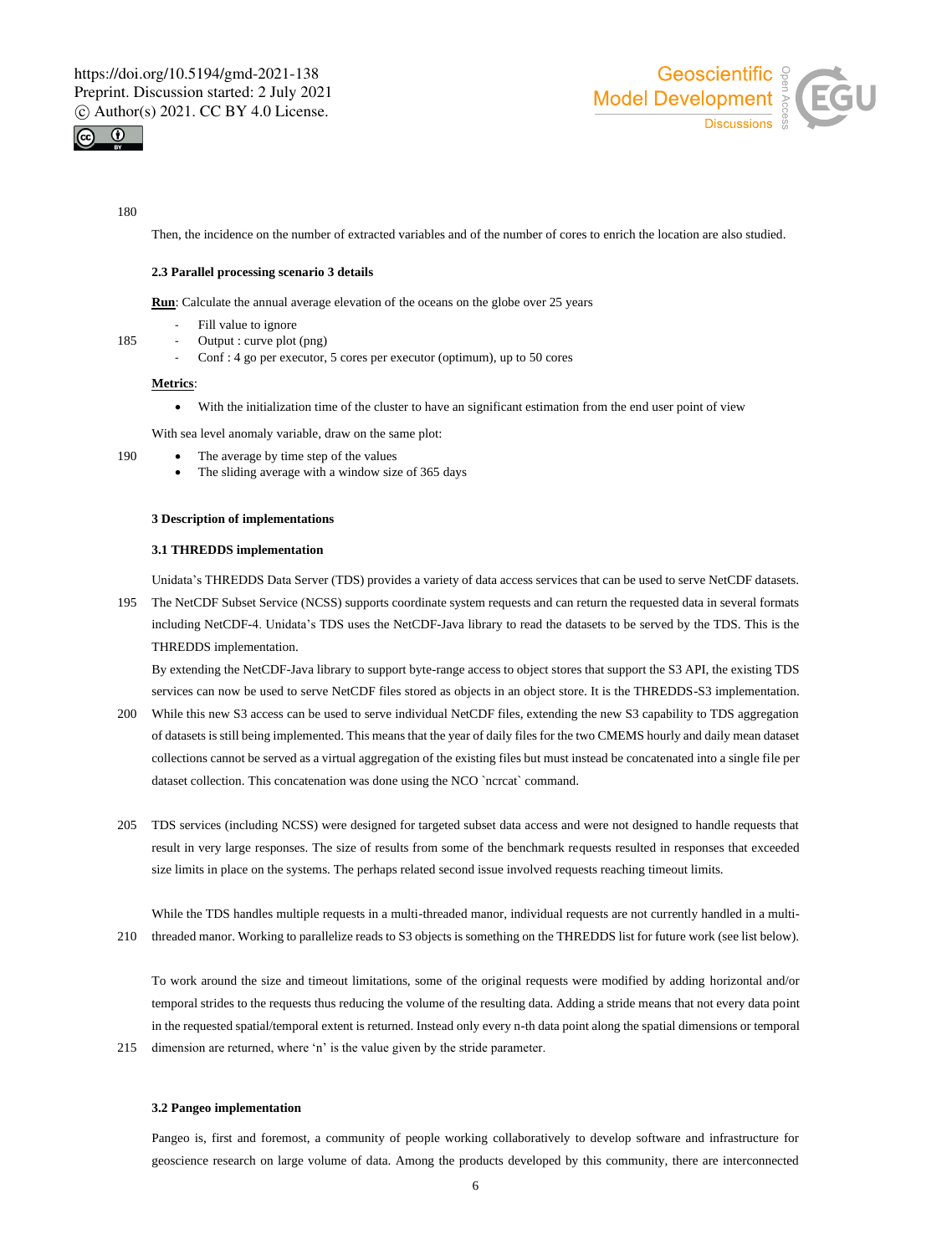



### 180

Then, the incidence on the number of extracted variables and of the number of cores to enrich the location are also studied.

### **2.3 Parallel processing scenario 3 details**

**Run**: Calculate the annual average elevation of the oceans on the globe over 25 years

- Fill value to ignore
- 185 Output : curve plot (png)
	- Conf : 4 go per executor, 5 cores per executor (optimum), up to 50 cores

# **Metrics**:

• With the initialization time of the cluster to have an significant estimation from the end user point of view

With sea level anomaly variable, draw on the same plot:

- 190 The average by time step of the values
	- The sliding average with a window size of 365 days

# **3 Description of implementations**

# **3.1 THREDDS implementation**

Unidata's THREDDS Data Server (TDS) provides a variety of data access services that can be used to serve NetCDF datasets. 195 The NetCDF Subset Service (NCSS) supports coordinate system requests and can return the requested data in several formats including NetCDF-4. Unidata's TDS uses the NetCDF-Java library to read the datasets to be served by the TDS. This is the

THREDDS implementation.

By extending the NetCDF-Java library to support byte-range access to object stores that support the S3 API, the existing TDS services can now be used to serve NetCDF files stored as objects in an object store. It is the THREDDS-S3 implementation.

- 200 While this new S3 access can be used to serve individual NetCDF files, extending the new S3 capability to TDS aggregation of datasets is still being implemented. This means that the year of daily files for the two CMEMS hourly and daily mean dataset collections cannot be served as a virtual aggregation of the existing files but must instead be concatenated into a single file per dataset collection. This concatenation was done using the NCO `ncrcat` command.
- 205 TDS services (including NCSS) were designed for targeted subset data access and were not designed to handle requests that result in very large responses. The size of results from some of the benchmark requests resulted in responses that exceeded size limits in place on the systems. The perhaps related second issue involved requests reaching timeout limits.

While the TDS handles multiple requests in a multi-threaded manor, individual requests are not currently handled in a multi-210 threaded manor. Working to parallelize reads to S3 objects is something on the THREDDS list for future work (see list below).

To work around the size and timeout limitations, some of the original requests were modified by adding horizontal and/or temporal strides to the requests thus reducing the volume of the resulting data. Adding a stride means that not every data point in the requested spatial/temporal extent is returned. Instead only every n-th data point along the spatial dimensions or temporal 215 dimension are returned, where 'n' is the value given by the stride parameter.

# **3.2 Pangeo implementation**

Pangeo is, first and foremost, a community of people working collaboratively to develop software and infrastructure for geoscience research on large volume of data. Among the products developed by this community, there are interconnected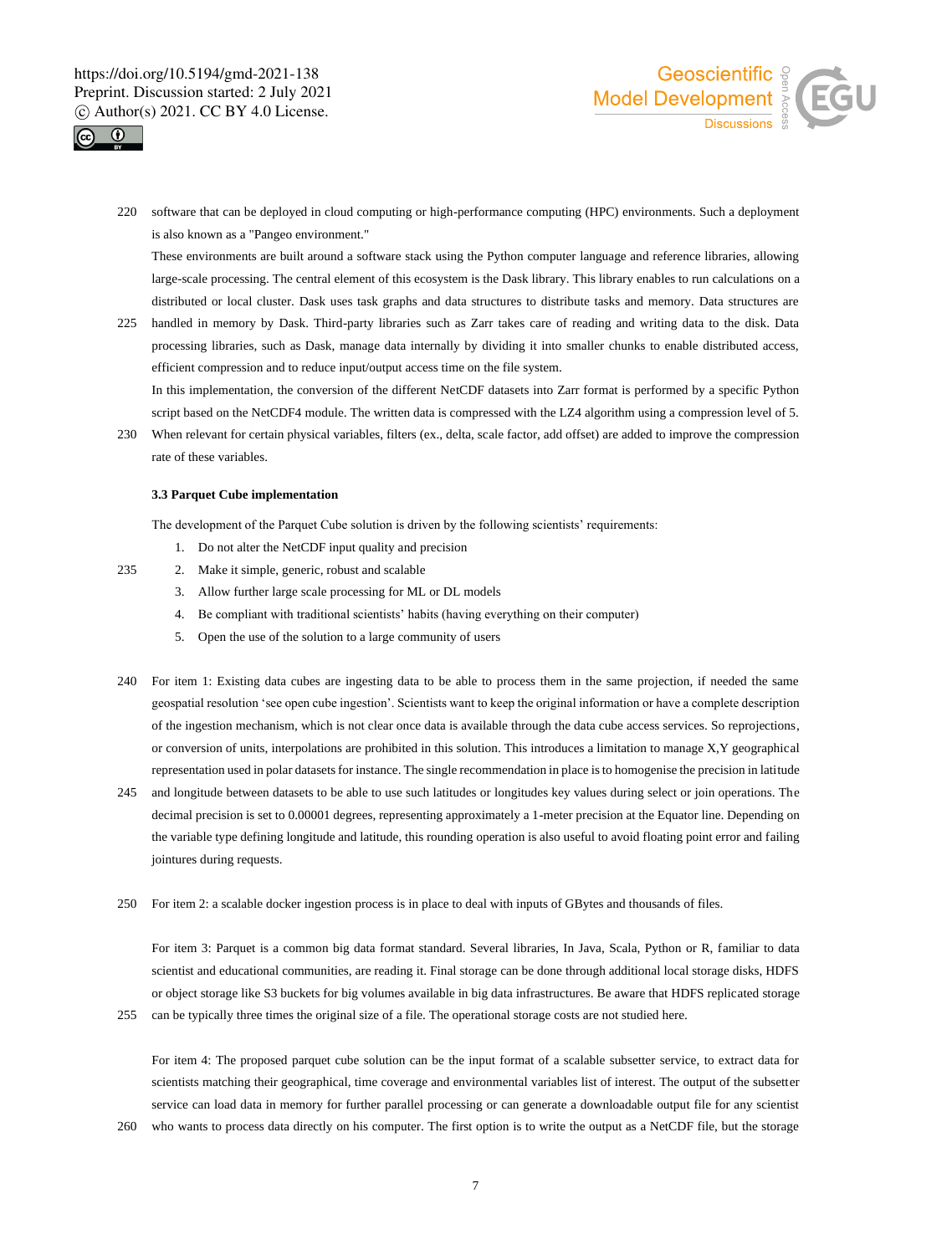



220 software that can be deployed in cloud computing or high-performance computing (HPC) environments. Such a deployment is also known as a "Pangeo environment."

These environments are built around a software stack using the Python computer language and reference libraries, allowing large-scale processing. The central element of this ecosystem is the Dask library. This library enables to run calculations on a distributed or local cluster. Dask uses task graphs and data structures to distribute tasks and memory. Data structures are

225 handled in memory by Dask. Third-party libraries such as Zarr takes care of reading and writing data to the disk. Data processing libraries, such as Dask, manage data internally by dividing it into smaller chunks to enable distributed access, efficient compression and to reduce input/output access time on the file system.

In this implementation, the conversion of the different NetCDF datasets into Zarr format is performed by a specific Python script based on the NetCDF4 module. The written data is compressed with the LZ4 algorithm using a compression level of 5.

230 When relevant for certain physical variables, filters (ex., delta, scale factor, add offset) are added to improve the compression rate of these variables.

### **3.3 Parquet Cube implementation**

The development of the Parquet Cube solution is driven by the following scientists' requirements:

- 1. Do not alter the NetCDF input quality and precision
- 235 2. Make it simple, generic, robust and scalable
	- 3. Allow further large scale processing for ML or DL models
	- 4. Be compliant with traditional scientists' habits (having everything on their computer)
	- 5. Open the use of the solution to a large community of users
- 240 For item 1: Existing data cubes are ingesting data to be able to process them in the same projection, if needed the same geospatial resolution 'see open cube ingestion'. Scientists want to keep the original information or have a complete description of the ingestion mechanism, which is not clear once data is available through the data cube access services. So reprojections, or conversion of units, interpolations are prohibited in this solution. This introduces a limitation to manage X,Y geographical representation used in polar datasets for instance. The single recommendation in place is to homogenise the precision in latitude
- 245 and longitude between datasets to be able to use such latitudes or longitudes key values during select or join operations. The decimal precision is set to 0.00001 degrees, representing approximately a 1-meter precision at the Equator line. Depending on the variable type defining longitude and latitude, this rounding operation is also useful to avoid floating point error and failing jointures during requests.
- 250 For item 2: a scalable docker ingestion process is in place to deal with inputs of GBytes and thousands of files.

For item 3: Parquet is a common big data format standard. Several libraries, In Java, Scala, Python or R, familiar to data scientist and educational communities, are reading it. Final storage can be done through additional local storage disks, HDFS or object storage like S3 buckets for big volumes available in big data infrastructures. Be aware that HDFS replicated storage

255 can be typically three times the original size of a file. The operational storage costs are not studied here.

For item 4: The proposed parquet cube solution can be the input format of a scalable subsetter service, to extract data for scientists matching their geographical, time coverage and environmental variables list of interest. The output of the subsetter service can load data in memory for further parallel processing or can generate a downloadable output file for any scientist

260 who wants to process data directly on his computer. The first option is to write the output as a NetCDF file, but the storage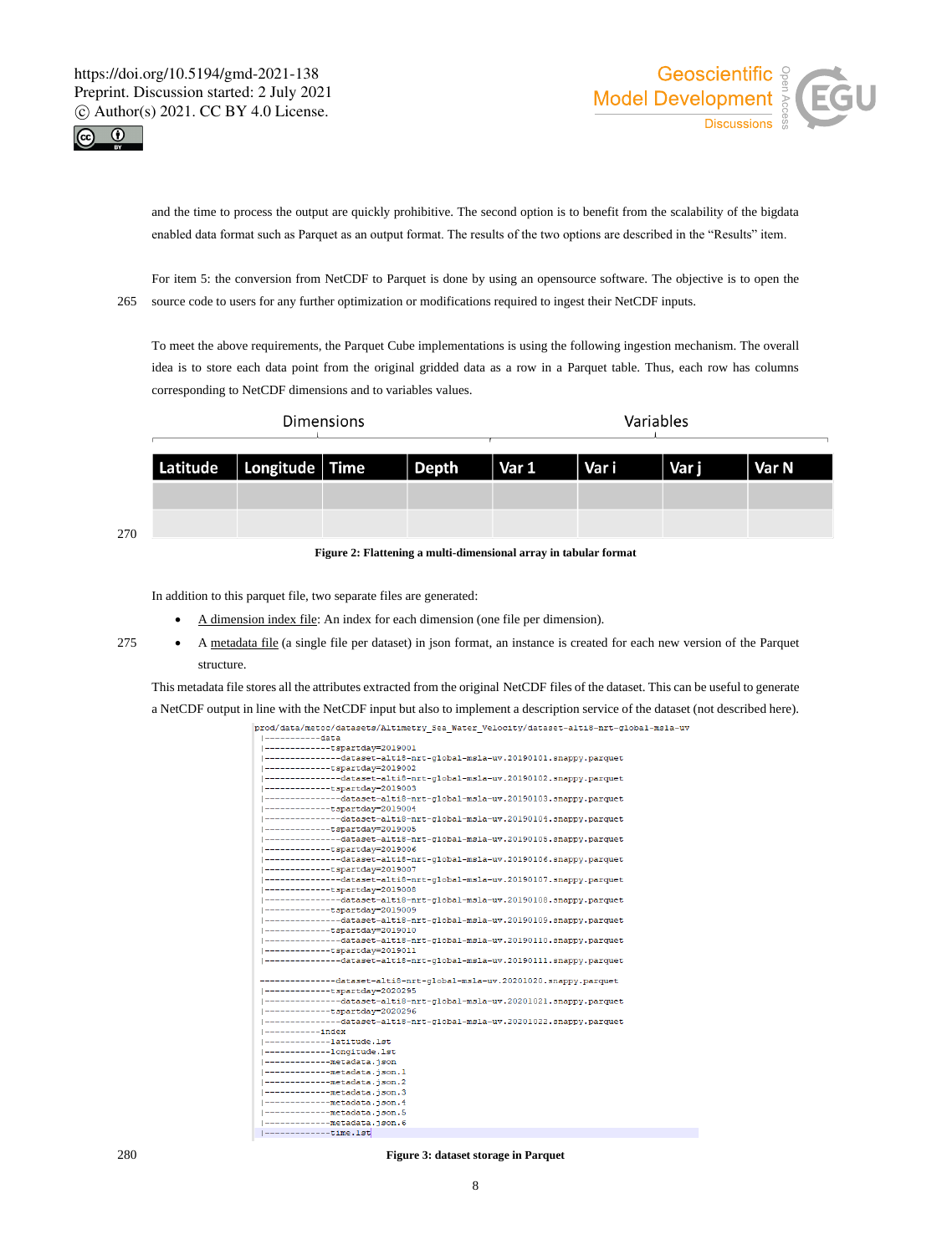



270

and the time to process the output are quickly prohibitive. The second option is to benefit from the scalability of the bigdata enabled data format such as Parquet as an output format. The results of the two options are described in the "Results" item.

For item 5: the conversion from NetCDF to Parquet is done by using an opensource software. The objective is to open the 265 source code to users for any further optimization or modifications required to ingest their NetCDF inputs.

To meet the above requirements, the Parquet Cube implementations is using the following ingestion mechanism. The overall idea is to store each data point from the original gridded data as a row in a Parquet table. Thus, each row has columns corresponding to NetCDF dimensions and to variables values.

|                             | <b>Dimensions</b> |                             | Variables |  |  |       |  |
|-----------------------------|-------------------|-----------------------------|-----------|--|--|-------|--|
| Latitude   Longitude   Time |                   | Depth   Var 1   Vari   Varj |           |  |  | Var N |  |
|                             |                   |                             |           |  |  |       |  |
|                             |                   |                             |           |  |  |       |  |

**Figure 2: Flattening a multi-dimensional array in tabular format**

In addition to this parquet file, two separate files are generated:

- A dimension index file: An index for each dimension (one file per dimension).
- <sup>275</sup> A metadata file (a single file per dataset) in json format, an instance is created for each new version of the Parquet structure.

This metadata file stores all the attributes extracted from the original NetCDF files of the dataset. This can be useful to generate a NetCDF output in line with the NetCDF input but also to implement a description service of the dataset (not described here).

```
prod/data/metoc/datasets/Altimetry_Sea_Water_Velocity/dataset-alti8-nrt-global-msla-uv
  ----------data
 --------------tspartday=2019001
             --dataset-alti8-nrt-global-msla-uv.20190101.snappy.parquet
--------------tspartdav=2019002
               -<br>-dataset-alti8-nrt-global-msla-uv.20190102.snappy.parquet
        ---tspartdav=2019003
     -----------dataset-alti8-nrt-global-msla-uv.20190103.snappy.parquet
          ----tspartday=2019004
     ---tspartday=2019005
       --------dataset-alti8-nrt-global-msla-uv.20190105.snappv.parguet
        -----tspartday=2019007
             --dataset-alti8-nrt-global-msla-uv.20190107.snappy.parquet
 -------------tspartday=2019008
              -dataset-alti8-nrt-global-msla-uv.20190108.snappy.parquet
      ---tspartdav=2019009
               -dataset-alti8-nrt-global-msla-uv.20190109.snappy.parquet
           ---tspartday=2019010
 ---------------dataset-alti8-nrt-qlobal-msla-uv.20190110.snappy.parquet
       dataset artic m
             ---dataset-alti8-nrt-global-msla-uv.20190111.snappy.parguet
      --------dataset-alti8-nrt-global-msla-uv.20201020.snappy.parquet
     ---------tspartday=2020295<br>----------tspartday=2020295<br>-----------dataset-alti8-nrt-global-msla-uv.20201021.snappy.parquet
      --------tspartday=2020296<br>----------dataset-alti8-nrt-global-msla-uv.20201022.snappy.parquet
      ---index--------latitude.lst
        -----longitude.lst
     ---------metadata.json
        ------metadata.json.l
 |--------------metadata.json.4
|-------------metadata.json.i<br>|-------------metadata.json.5
      |-------------time.lst
```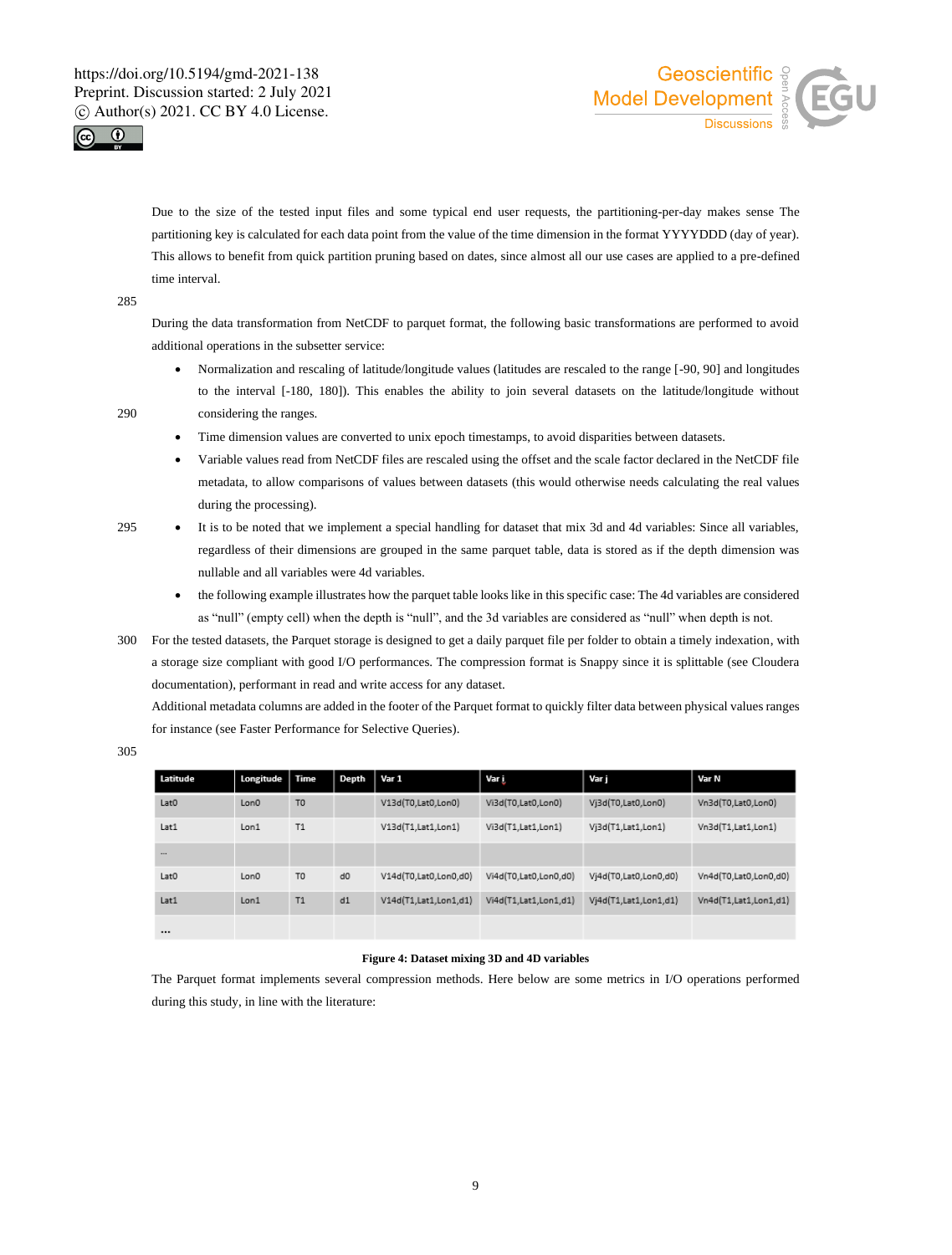



Due to the size of the tested input files and some typical end user requests, the partitioning-per-day makes sense The partitioning key is calculated for each data point from the value of the time dimension in the format YYYYDDD (day of year). This allows to benefit from quick partition pruning based on dates, since almost all our use cases are applied to a pre-defined time interval.

285

During the data transformation from NetCDF to parquet format, the following basic transformations are performed to avoid additional operations in the subsetter service:

- Normalization and rescaling of latitude/longitude values (latitudes are rescaled to the range [-90, 90] and longitudes to the interval [-180, 180]). This enables the ability to join several datasets on the latitude/longitude without 290 considering the ranges.
- 
- Time dimension values are converted to unix epoch timestamps, to avoid disparities between datasets.
- Variable values read from NetCDF files are rescaled using the offset and the scale factor declared in the NetCDF file metadata, to allow comparisons of values between datasets (this would otherwise needs calculating the real values during the processing).
- <sup>295</sup> It is to be noted that we implement a special handling for dataset that mix 3d and 4d variables: Since all variables, regardless of their dimensions are grouped in the same parquet table, data is stored as if the depth dimension was nullable and all variables were 4d variables.
	- the following example illustrates how the parquet table looks like in this specific case: The 4d variables are considered as "null" (empty cell) when the depth is "null", and the 3d variables are considered as "null" when depth is not.
- 300 For the tested datasets, the Parquet storage is designed to get a daily parquet file per folder to obtain a timely indexation, with a storage size compliant with good I/O performances. The compression format is Snappy since it is splittable (see Cloudera documentation), performant in read and write access for any dataset.

Additional metadata columns are added in the footer of the Parquet format to quickly filter data between physical values ranges for instance (see Faster Performance for Selective Queries).

| . .<br>$\sim$ | i<br>$-$ | i<br>۰. |
|---------------|----------|---------|

| Latitude         | Longitude | <b>Time</b>    | Depth          | Var 1                 | Var į                 | Var i                 | Var N                 |
|------------------|-----------|----------------|----------------|-----------------------|-----------------------|-----------------------|-----------------------|
| Lat <sub>0</sub> | Lon0      | T <sub>0</sub> |                | V13d(T0,Lat0,Lon0)    | Vi3d(T0,Lat0,Lon0)    | Vj3d(T0,Lat0,Lon0)    | Vn3d(T0,Lat0,Lon0)    |
| Lat1             | Lon1      | T1             |                | V13d(T1,Lat1,Lon1)    | Vi3d(T1,Lat1,Lon1)    | Vj3d(T1,Lat1,Lon1)    | Vn3d(T1,Lat1,Lon1)    |
| $\cdots$         |           |                |                |                       |                       |                       |                       |
| Lat <sub>0</sub> | Lon0      | T <sub>0</sub> | d <sub>0</sub> | V14d(T0,Lat0,Lon0,d0) | Vi4d(T0,Lat0,Lon0,d0) | Vj4d(T0,Lat0,Lon0,d0) | Vn4d(T0,Lat0,Lon0,d0) |
| Lat1             | Lon1      | T1             | d1             | V14d(T1,Lat1,Lon1,d1) | Vi4d(T1,Lat1,Lon1,d1) | Vj4d(T1,Lat1,Lon1,d1) | Vn4d(T1,Lat1,Lon1,d1) |
| $\cdots$         |           |                |                |                       |                       |                       |                       |

# **Figure 4: Dataset mixing 3D and 4D variables**

The Parquet format implements several compression methods. Here below are some metrics in I/O operations performed during this study, in line with the literature:

9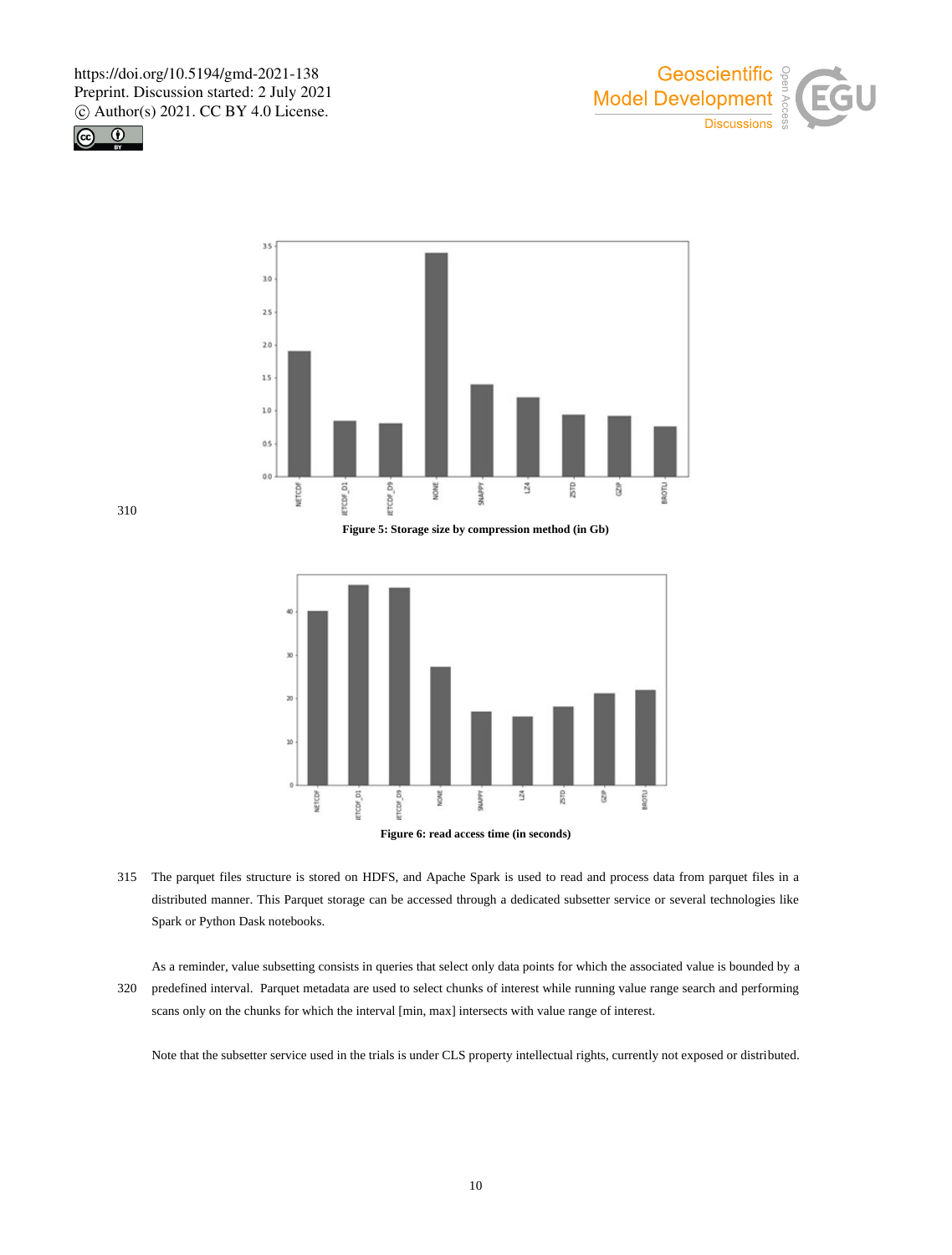





**Figure 5: Storage size by compression method (in Gb)**



- **Figure 6: read access time (in seconds)**
- 315 The parquet files structure is stored on HDFS, and Apache Spark is used to read and process data from parquet files in a distributed manner. This Parquet storage can be accessed through a dedicated subsetter service or several technologies like Spark or Python Dask notebooks.

As a reminder, value subsetting consists in queries that select only data points for which the associated value is bounded by a 320 predefined interval. Parquet metadata are used to select chunks of interest while running value range search and performing scans only on the chunks for which the interval [min, max] intersects with value range of interest.

Note that the subsetter service used in the trials is under CLS property intellectual rights, currently not exposed or distributed.

310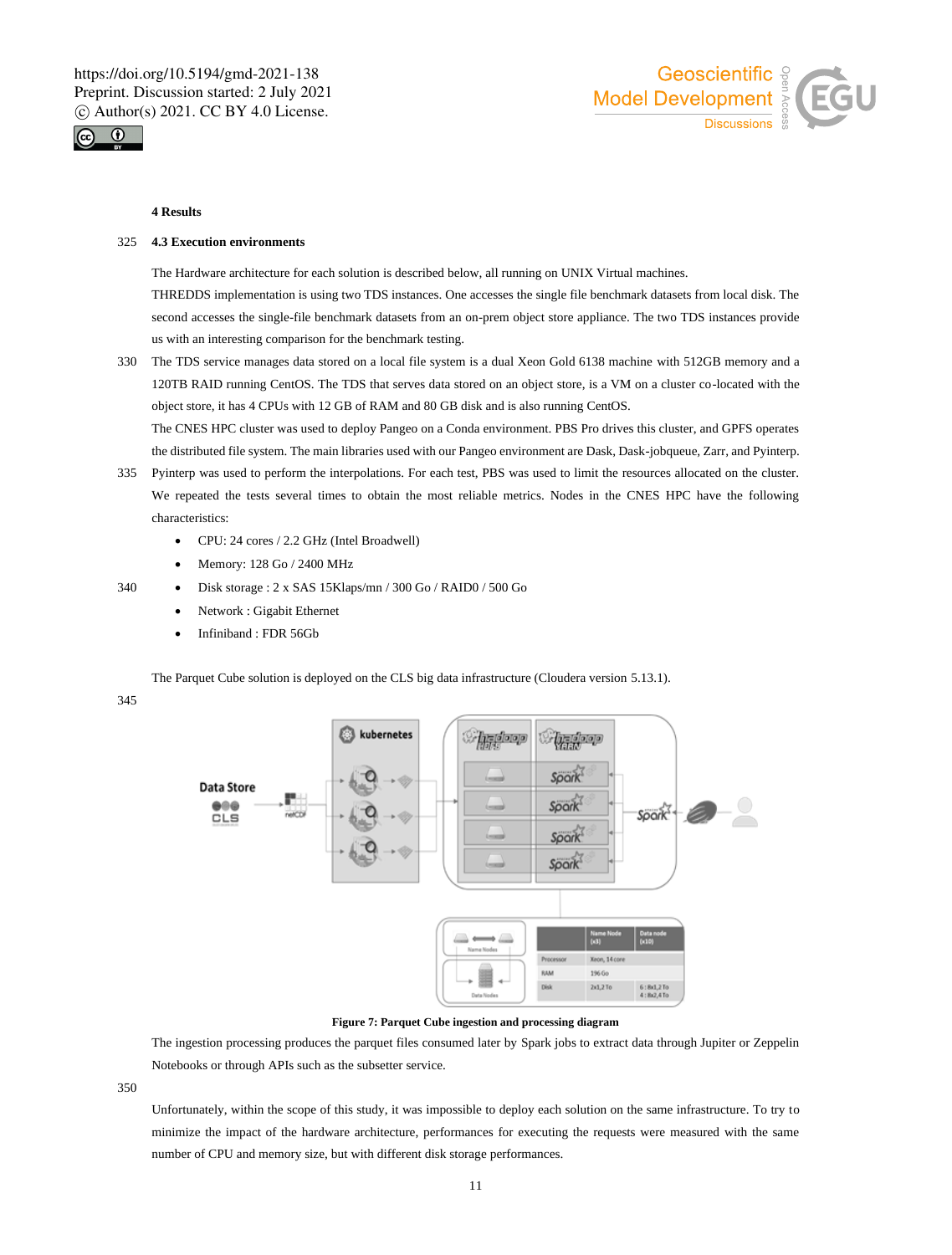



### **4 Results**

### 325 **4.3 Execution environments**

The Hardware architecture for each solution is described below, all running on UNIX Virtual machines. THREDDS implementation is using two TDS instances. One accesses the single file benchmark datasets from local disk. The second accesses the single-file benchmark datasets from an on-prem object store appliance. The two TDS instances provide us with an interesting comparison for the benchmark testing.

330 The TDS service manages data stored on a local file system is a dual Xeon Gold 6138 machine with 512GB memory and a 120TB RAID running CentOS. The TDS that serves data stored on an object store, is a VM on a cluster co-located with the object store, it has 4 CPUs with 12 GB of RAM and 80 GB disk and is also running CentOS.

The CNES HPC cluster was used to deploy Pangeo on a Conda environment. PBS Pro drives this cluster, and GPFS operates the distributed file system. The main libraries used with our Pangeo environment are Dask, Dask-jobqueue, Zarr, and Pyinterp.

- 335 Pyinterp was used to perform the interpolations. For each test, PBS was used to limit the resources allocated on the cluster. We repeated the tests several times to obtain the most reliable metrics. Nodes in the CNES HPC have the following characteristics:
	- CPU: 24 cores / 2.2 GHz (Intel Broadwell)
	- Memory: 128 Go / 2400 MHz
- 340 Disk storage : 2 x SAS 15Klaps/mn / 300 Go / RAID0 / 500 Go
	- Network : Gigabit Ethernet
	- Infiniband : FDR 56Gb

The Parquet Cube solution is deployed on the CLS big data infrastructure (Cloudera version 5.13.1).

# 345



# **Figure 7: Parquet Cube ingestion and processing diagram**

The ingestion processing produces the parquet files consumed later by Spark jobs to extract data through Jupiter or Zeppelin Notebooks or through APIs such as the subsetter service.

350

Unfortunately, within the scope of this study, it was impossible to deploy each solution on the same infrastructure. To try to minimize the impact of the hardware architecture, performances for executing the requests were measured with the same number of CPU and memory size, but with different disk storage performances.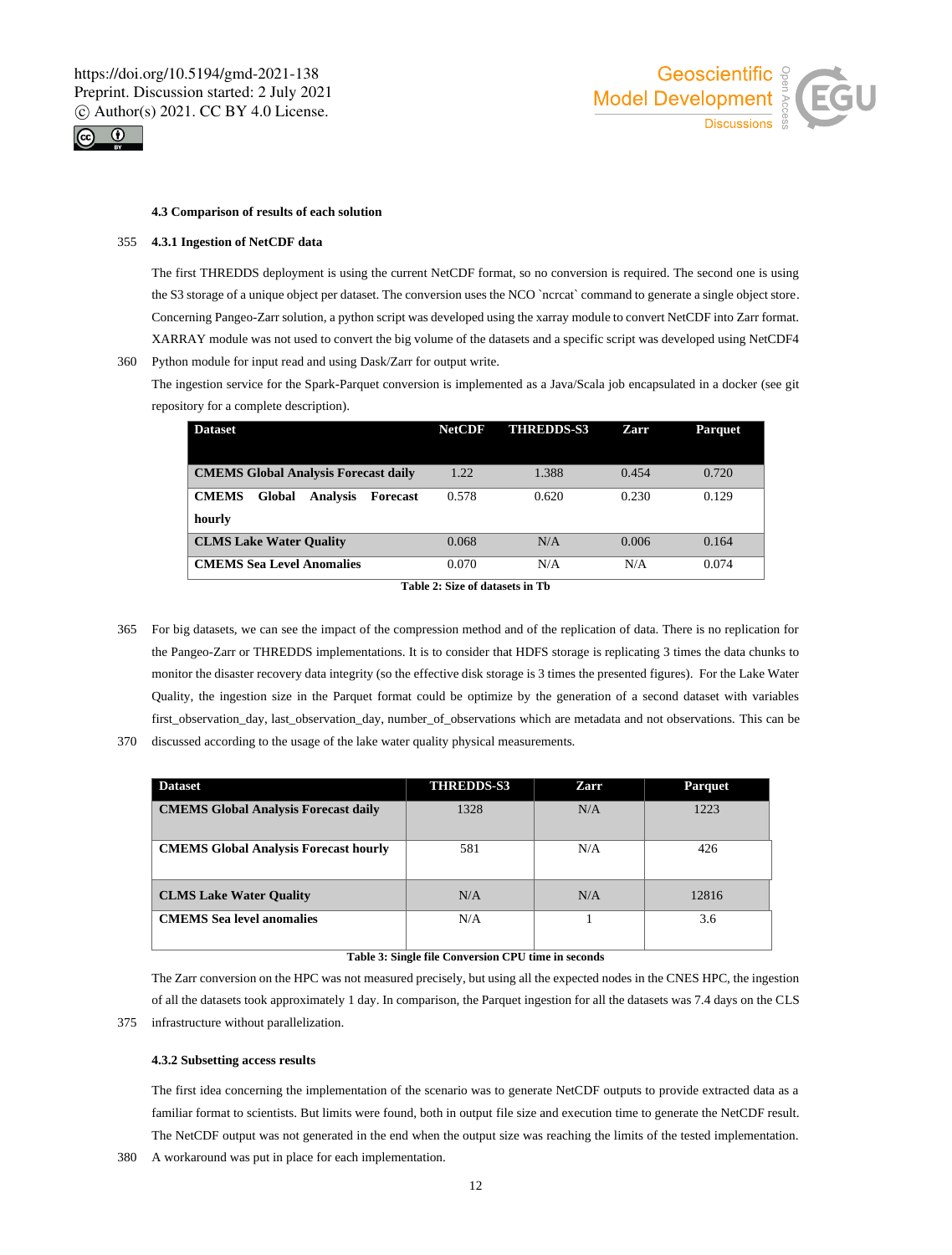



### **4.3 Comparison of results of each solution**

### 355 **4.3.1 Ingestion of NetCDF data**

The first THREDDS deployment is using the current NetCDF format, so no conversion is required. The second one is using the S3 storage of a unique object per dataset. The conversion uses the NCO `ncrcat` command to generate a single object store. Concerning Pangeo-Zarr solution, a python script was developed using the xarray module to convert NetCDF into Zarr format. XARRAY module was not used to convert the big volume of the datasets and a specific script was developed using NetCDF4 360 Python module for input read and using Dask/Zarr for output write.

The ingestion service for the Spark-Parquet conversion is implemented as a Java/Scala job encapsulated in a docker (see git repository for a complete description).

| <b>Dataset</b>                                        | <b>NetCDF</b> | <b>THREDDS-S3</b> | Zarr  | <b>Parquet</b> |
|-------------------------------------------------------|---------------|-------------------|-------|----------------|
|                                                       |               |                   |       |                |
| <b>CMEMS Global Analysis Forecast daily</b>           | 1.22          | 1.388             | 0.454 | 0.720          |
| <b>CMEMS</b><br>Global<br><b>Analysis</b><br>Forecast | 0.578         | 0.620             | 0.230 | 0.129          |
| hourly                                                |               |                   |       |                |
| <b>CLMS Lake Water Quality</b>                        | 0.068         | N/A               | 0.006 | 0.164          |
| <b>CMEMS</b> Sea Level Anomalies                      | 0.070         | N/A               | N/A   | 0.074          |

**Table 2: Size of datasets in Tb**

- 365 For big datasets, we can see the impact of the compression method and of the replication of data. There is no replication for the Pangeo-Zarr or THREDDS implementations. It is to consider that HDFS storage is replicating 3 times the data chunks to monitor the disaster recovery data integrity (so the effective disk storage is 3 times the presented figures). For the Lake Water Quality, the ingestion size in the Parquet format could be optimize by the generation of a second dataset with variables first\_observation\_day, last\_observation\_day, number\_of\_observations which are metadata and not observations. This can be
- 370 discussed according to the usage of the lake water quality physical measurements.

| <b>Dataset</b>                               | <b>THREDDS-S3</b> | Zarr | <b>Parquet</b> |
|----------------------------------------------|-------------------|------|----------------|
| <b>CMEMS Global Analysis Forecast daily</b>  | 1328              | N/A  | 1223           |
| <b>CMEMS Global Analysis Forecast hourly</b> | 581               | N/A  | 426            |
| <b>CLMS Lake Water Quality</b>               | N/A               | N/A  | 12816          |
| <b>CMEMS</b> Sea level anomalies             | N/A               |      | 3.6            |

### **Table 3: Single file Conversion CPU time in seconds**

The Zarr conversion on the HPC was not measured precisely, but using all the expected nodes in the CNES HPC, the ingestion of all the datasets took approximately 1 day. In comparison, the Parquet ingestion for all the datasets was 7.4 days on the CLS 375 infrastructure without parallelization.

# **4.3.2 Subsetting access results**

The first idea concerning the implementation of the scenario was to generate NetCDF outputs to provide extracted data as a familiar format to scientists. But limits were found, both in output file size and execution time to generate the NetCDF result. The NetCDF output was not generated in the end when the output size was reaching the limits of the tested implementation.

380 A workaround was put in place for each implementation.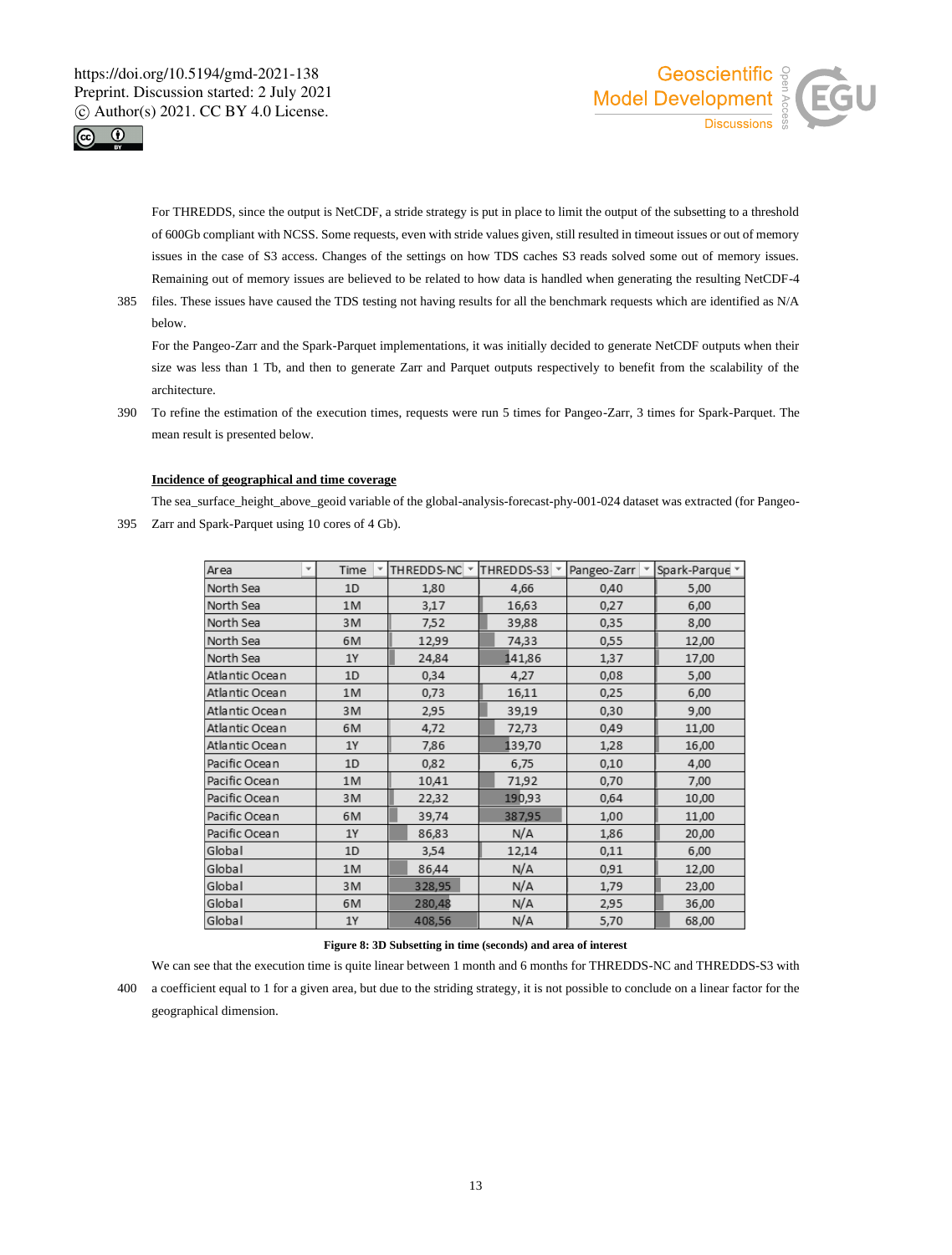



For THREDDS, since the output is NetCDF, a stride strategy is put in place to limit the output of the subsetting to a threshold of 600Gb compliant with NCSS. Some requests, even with stride values given, still resulted in timeout issues or out of memory issues in the case of S3 access. Changes of the settings on how TDS caches S3 reads solved some out of memory issues. Remaining out of memory issues are believed to be related to how data is handled when generating the resulting NetCDF-4

385 files. These issues have caused the TDS testing not having results for all the benchmark requests which are identified as N/A below.

For the Pangeo-Zarr and the Spark-Parquet implementations, it was initially decided to generate NetCDF outputs when their size was less than 1 Tb, and then to generate Zarr and Parquet outputs respectively to benefit from the scalability of the architecture.

390 To refine the estimation of the execution times, requests were run 5 times for Pangeo-Zarr, 3 times for Spark-Parquet. The mean result is presented below.

### **Incidence of geographical and time coverage**

The sea\_surface\_height\_above\_geoid variable of the global-analysis-forecast-phy-001-024 dataset was extracted (for Pangeo-395 Zarr and Spark-Parquet using 10 cores of 4 Gb).

| Area<br>٧      | Time<br>٠ | THREDDS-NC Y | THREDDS-S3 | Pangeo-Zarr | Spark-Parque |
|----------------|-----------|--------------|------------|-------------|--------------|
| North Sea      | 1D        | 1,80         | 4,66       | 0,40        | 5,00         |
| North Sea      | 1M        | 3,17         | 16,63      | 0,27        | 6,00         |
| North Sea      | 3M        | 7,52         | 39,88      | 0,35        | 8,00         |
| North Sea      | 6M        | 12,99        | 74,33      | 0,55        | 12,00        |
| North Sea      | <b>1Y</b> | 24,84        | 141,86     | 1,37        | 17,00        |
| Atlantic Ocean | 1D        | 0,34         | 4,27       | 0,08        | 5,00         |
| Atlantic Ocean | 1M        | 0,73         | 16,11      | 0,25        | 6,00         |
| Atlantic Ocean | 3M        | 2,95         | 39,19      | 0,30        | 9,00         |
| Atlantic Ocean | 6M        | 4,72         | 72,73      | 0,49        | 11,00        |
| Atlantic Ocean | 1Y        | 7,86         | 139,70     | 1,28        | 16,00        |
| Pacific Ocean  | 1D        | 0,82         | 6,75       | 0,10        | 4,00         |
| Pacific Ocean  | 1M        | 10,41        | 71,92      | 0,70        | 7,00         |
| Pacific Ocean  | 3M        | 22,32        | 190,93     | 0,64        | 10,00        |
| Pacific Ocean  | 6M        | 39,74        | 387,95     | 1,00        | 11,00        |
| Pacific Ocean  | 1Y        | 86,83        | N/A        | 1,86        | 20,00        |
| Global         | 1D        | 3,54         | 12,14      | 0,11        | 6,00         |
| Global         | 1M        | 86,44        | N/A        | 0,91        | 12,00        |
| Global         | 3M        | 328,95       | N/A        | 1,79        | 23,00        |
| Global         | 6M        | 280,48       | N/A        | 2,95        | 36,00        |
| Global         | 1Y        | 408,56       | N/A        | 5,70        | 68,00        |

### **Figure 8: 3D Subsetting in time (seconds) and area of interest**

We can see that the execution time is quite linear between 1 month and 6 months for THREDDS-NC and THREDDS-S3 with 400 a coefficient equal to 1 for a given area, but due to the striding strategy, it is not possible to conclude on a linear factor for the geographical dimension.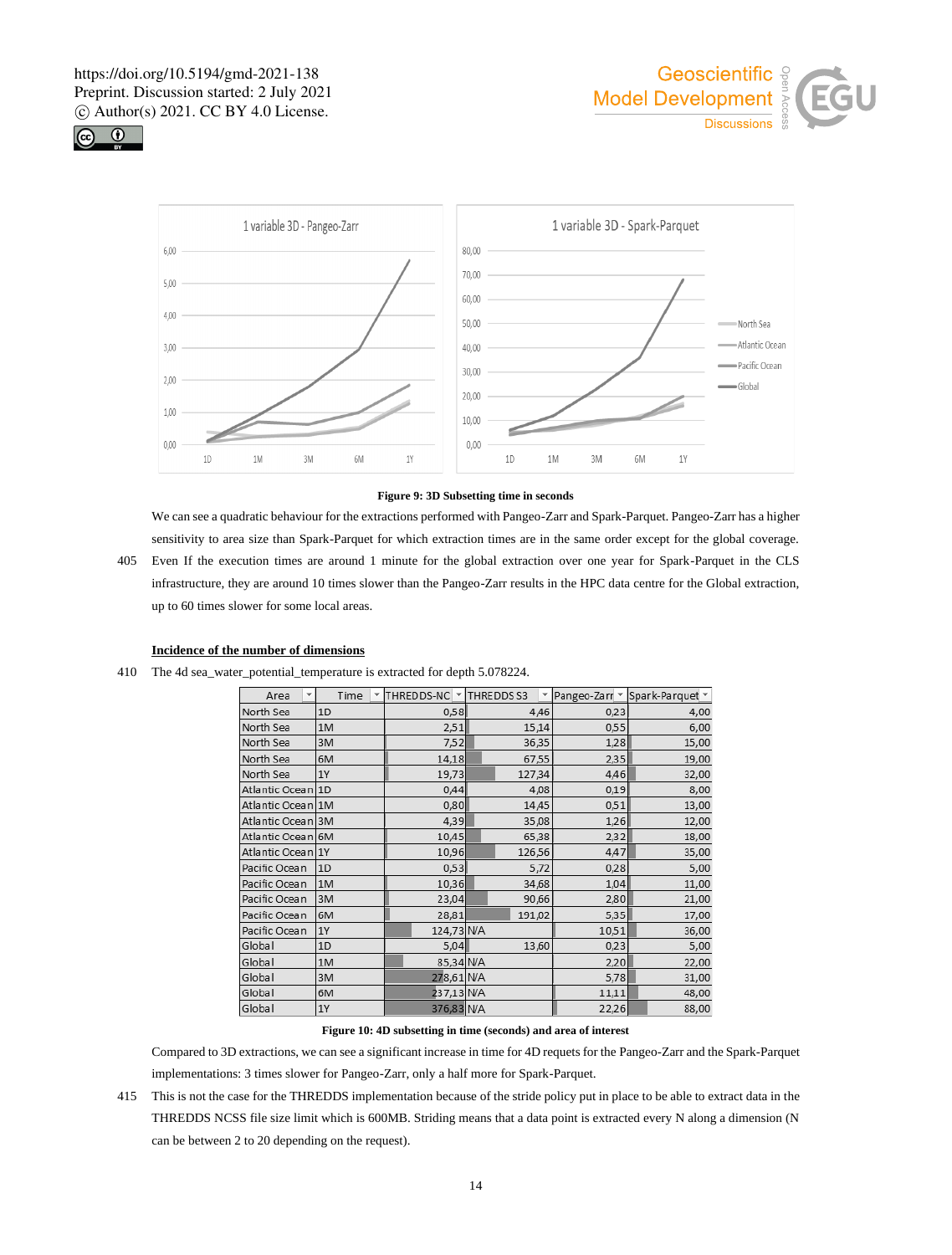





### **Figure 9: 3D Subsetting time in seconds**

We can see a quadratic behaviour for the extractions performed with Pangeo-Zarr and Spark-Parquet. Pangeo-Zarr has a higher sensitivity to area size than Spark-Parquet for which extraction times are in the same order except for the global coverage.

405 Even If the execution times are around 1 minute for the global extraction over one year for Spark-Parquet in the CLS infrastructure, they are around 10 times slower than the Pangeo-Zarr results in the HPC data centre for the Global extraction, up to 60 times slower for some local areas.

# **Incidence of the number of dimensions**

410 The 4d sea\_water\_potential\_temperature is extracted for depth 5.078224.

| Area<br>v         |           | Time | THREDDS-NC Y | THREDDS S3 |       | Pangeo-Zarr v | Spark-Parquet v |
|-------------------|-----------|------|--------------|------------|-------|---------------|-----------------|
| North Sea         | 1D        |      | 0,58         |            | 4,46  | 0,23          | 4,00            |
| North Sea         | 1M        |      | 2,51         | 15,14      |       | 0,55          | 6,00            |
| North Sea         | 3M        |      | 7,52         | 36,35      |       | 1,28          | 15,00           |
| North Sea         | 6M        |      | 14,18        |            | 67,55 | 2,35          | 19,00           |
| North Sea         | <b>1Y</b> |      | 19,73        | 127,34     |       | 4,46          | 32,00           |
| Atlantic Ocean    | 1D        |      | 0,44         |            | 4,08  | 0,19          | 8,00            |
| Atlantic Ocean    | 1M        |      | 0,80         | 14,45      |       | 0,51          | 13,00           |
| Atlantic Ocean 3M |           |      | 4,39         |            | 35,08 | 1,26          | 12,00           |
| Atlantic Ocean 6M |           |      | 10,45        |            | 65,38 | 2,32          | 18,00           |
| Atlantic Ocean 1Y |           |      | 10,96        | 126,56     |       | 4,47          | 35,00           |
| Pacific Ocean     | 1D        |      | 0,53         |            | 5,72  | 0,28          | 5,00            |
| Pacific Ocean     | 1M        |      | 10,36        |            | 34,68 | 1,04          | 11,00           |
| Pacific Ocean     | 3M        |      | 23,04        |            | 90,66 | 2,80          | 21,00           |
| Pacific Ocean     | 6M        |      | 28,81        | 191,02     |       | 5,35          | 17,00           |
| Pacific Ocean     | <b>1Y</b> |      | 124,73 N/A   |            |       | 10,51         | 36,00           |
| Global            | 1D        |      | 5,04         |            | 13,60 | 0,23          | 5,00            |
| Global            | 1M        |      | 85,34 N/A    |            |       | 2,20          | 22,00           |
| Global            | 3M        |      | 278,61 N/A   |            |       | 5,78          | 31,00           |
| Global            | 6M        |      | 237,13 N/A   |            |       | 11,11         | 48,00           |
| Global            | 1Y        |      | 376,83 N/A   |            |       | 22,26         | 88,00           |

**Figure 10: 4D subsetting in time (seconds) and area of interest**

Compared to 3D extractions, we can see a significant increase in time for 4D requets for the Pangeo-Zarr and the Spark-Parquet implementations: 3 times slower for Pangeo-Zarr, only a half more for Spark-Parquet.

415 This is not the case for the THREDDS implementation because of the stride policy put in place to be able to extract data in the THREDDS NCSS file size limit which is 600MB. Striding means that a data point is extracted every N along a dimension (N can be between 2 to 20 depending on the request).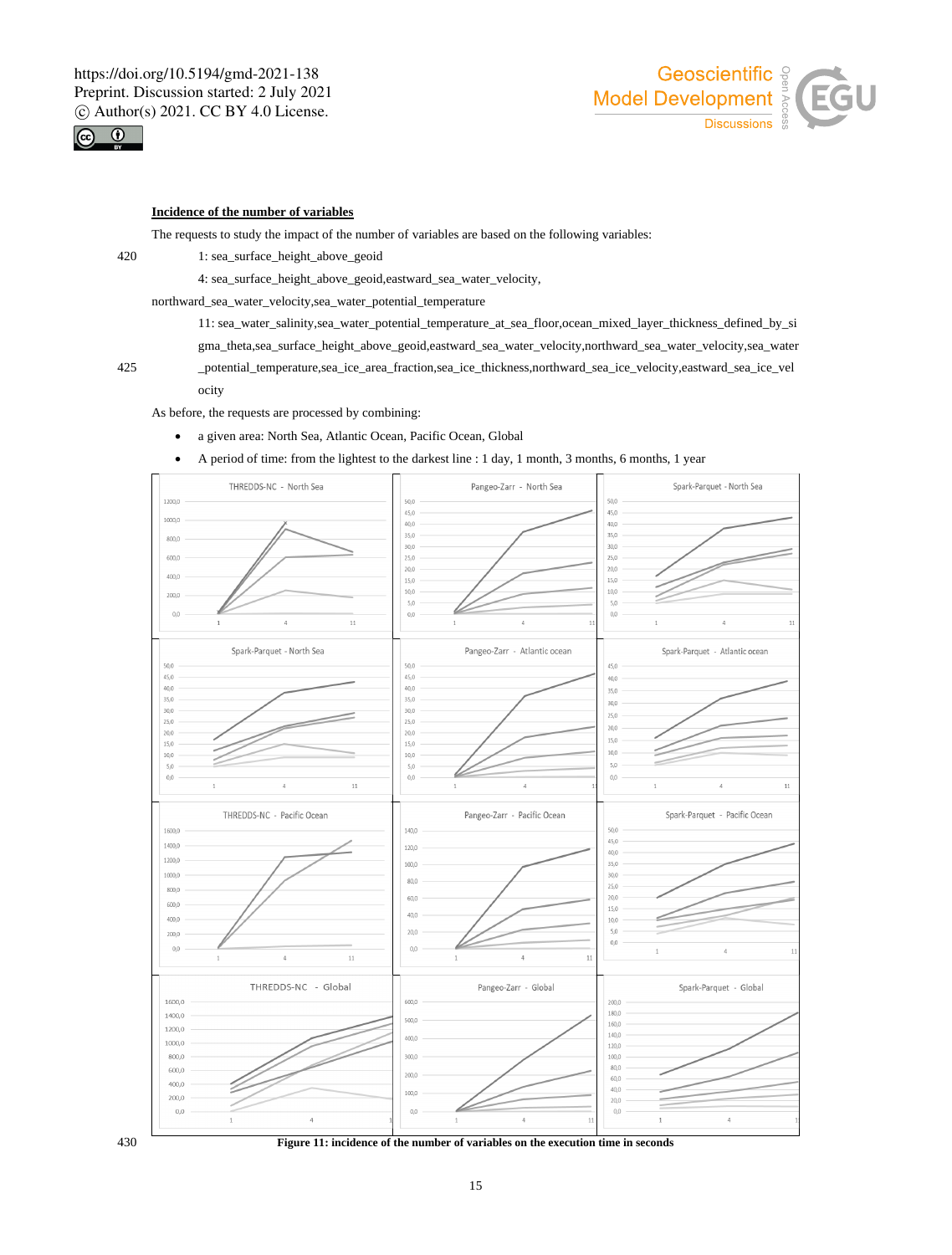

# Geoscientific <sup>9</sup> Model Development  $\frac{1}{8}$ **Discussions**

# **Incidence of the number of variables**

The requests to study the impact of the number of variables are based on the following variables:

420 1: sea\_surface\_height\_above\_geoid

4: sea\_surface\_height\_above\_geoid,eastward\_sea\_water\_velocity,

northward\_sea\_water\_velocity,sea\_water\_potential\_temperature

11: sea\_water\_salinity,sea\_water\_potential\_temperature\_at\_sea\_floor,ocean\_mixed\_layer\_thickness\_defined\_by\_si gma\_theta,sea\_surface\_height\_above\_geoid,eastward\_sea\_water\_velocity,northward\_sea\_water\_velocity,sea\_water

425 \_potential\_temperature,sea\_ice\_area\_fraction,sea\_ice\_thickness,northward\_sea\_ice\_velocity,eastward\_sea\_ice\_vel ocity

As before, the requests are processed by combining:

- a given area: North Sea, Atlantic Ocean, Pacific Ocean, Global
- A period of time: from the lightest to the darkest line : 1 day, 1 month, 3 months, 6 months, 1 year



430 **Figure 11: incidence of the number of variables on the execution time in seconds**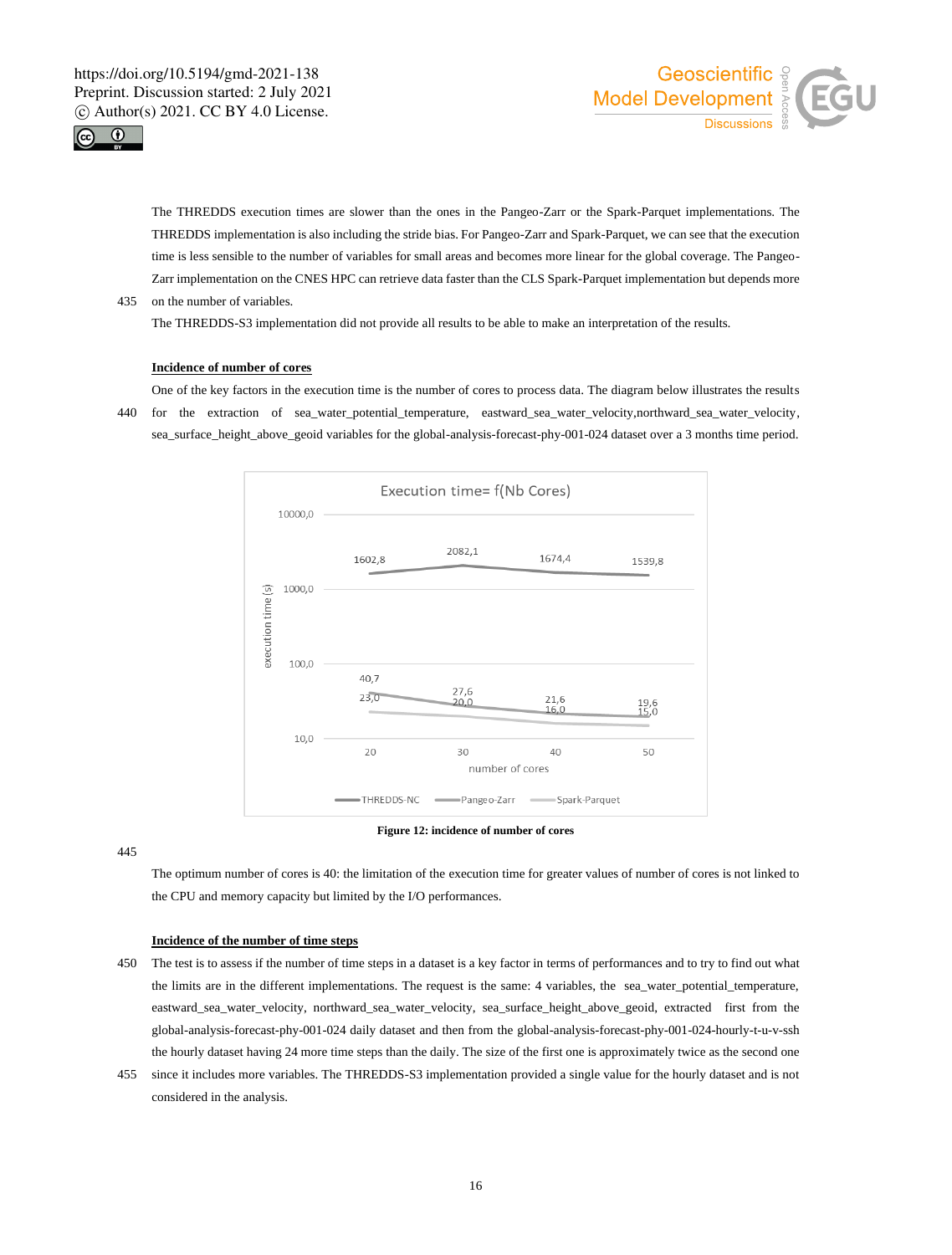



The THREDDS execution times are slower than the ones in the Pangeo-Zarr or the Spark-Parquet implementations. The THREDDS implementation is also including the stride bias. For Pangeo-Zarr and Spark-Parquet, we can see that the execution time is less sensible to the number of variables for small areas and becomes more linear for the global coverage. The Pangeo-Zarr implementation on the CNES HPC can retrieve data faster than the CLS Spark-Parquet implementation but depends more 435 on the number of variables.

The THREDDS-S3 implementation did not provide all results to be able to make an interpretation of the results.

### **Incidence of number of cores**

One of the key factors in the execution time is the number of cores to process data. The diagram below illustrates the results 440 for the extraction of sea\_water\_potential\_temperature, eastward\_sea\_water\_velocity,northward\_sea\_water\_velocity, sea\_surface\_height\_above\_geoid variables for the global-analysis-forecast-phy-001-024 dataset over a 3 months time period.



### **Figure 12: incidence of number of cores**

445

The optimum number of cores is 40: the limitation of the execution time for greater values of number of cores is not linked to the CPU and memory capacity but limited by the I/O performances.

### **Incidence of the number of time steps**

- 450 The test is to assess if the number of time steps in a dataset is a key factor in terms of performances and to try to find out what the limits are in the different implementations. The request is the same: 4 variables, the sea\_water\_potential\_temperature, eastward\_sea\_water\_velocity, northward\_sea\_water\_velocity, sea\_surface\_height\_above\_geoid, extracted first from the global-analysis-forecast-phy-001-024 daily dataset and then from the global-analysis-forecast-phy-001-024-hourly-t-u-v-ssh the hourly dataset having 24 more time steps than the daily. The size of the first one is approximately twice as the second one
- 455 since it includes more variables. The THREDDS-S3 implementation provided a single value for the hourly dataset and is not considered in the analysis.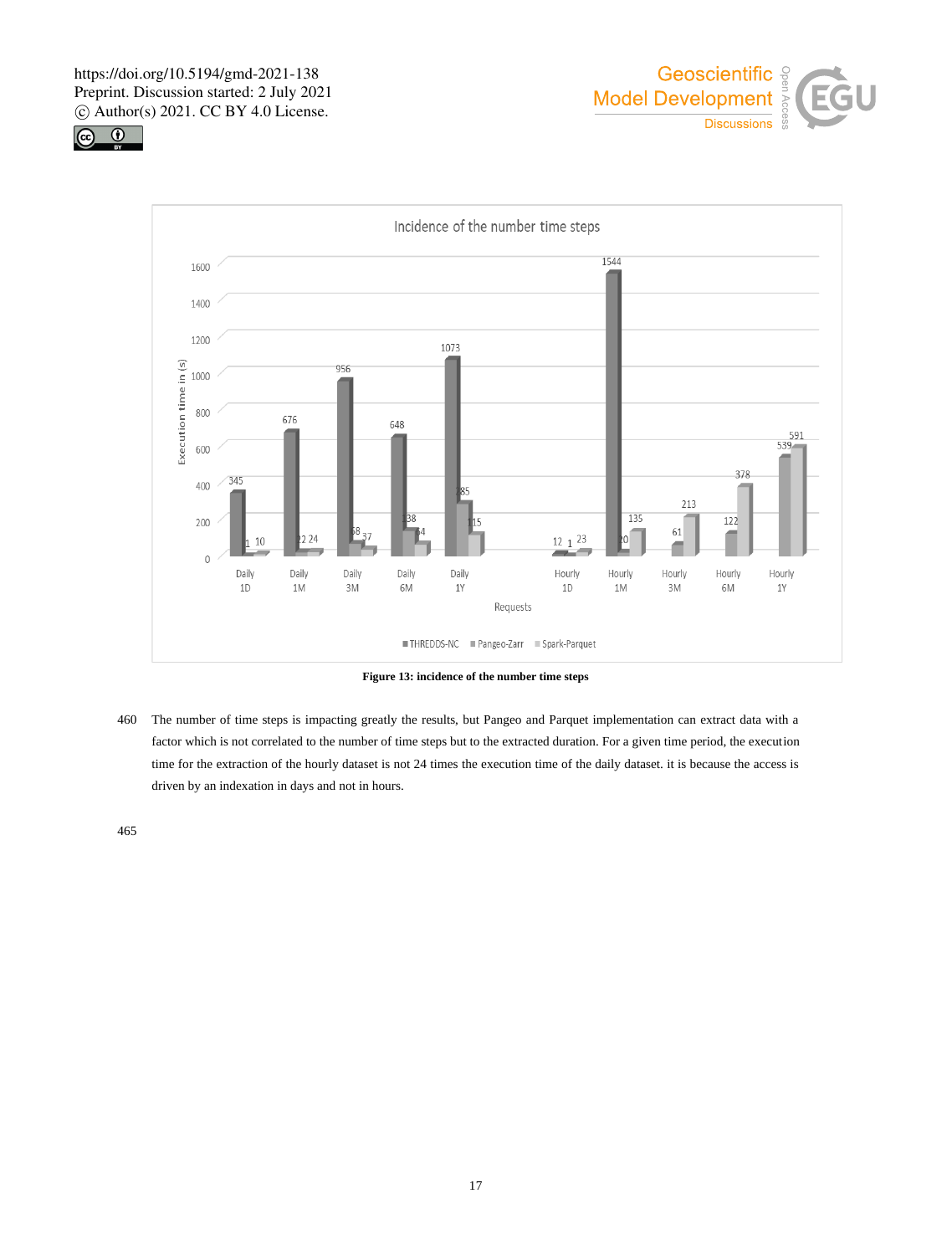





**Figure 13: incidence of the number time steps**

460 The number of time steps is impacting greatly the results, but Pangeo and Parquet implementation can extract data with a factor which is not correlated to the number of time steps but to the extracted duration. For a given time period, the execution time for the extraction of the hourly dataset is not 24 times the execution time of the daily dataset. it is because the access is driven by an indexation in days and not in hours.

465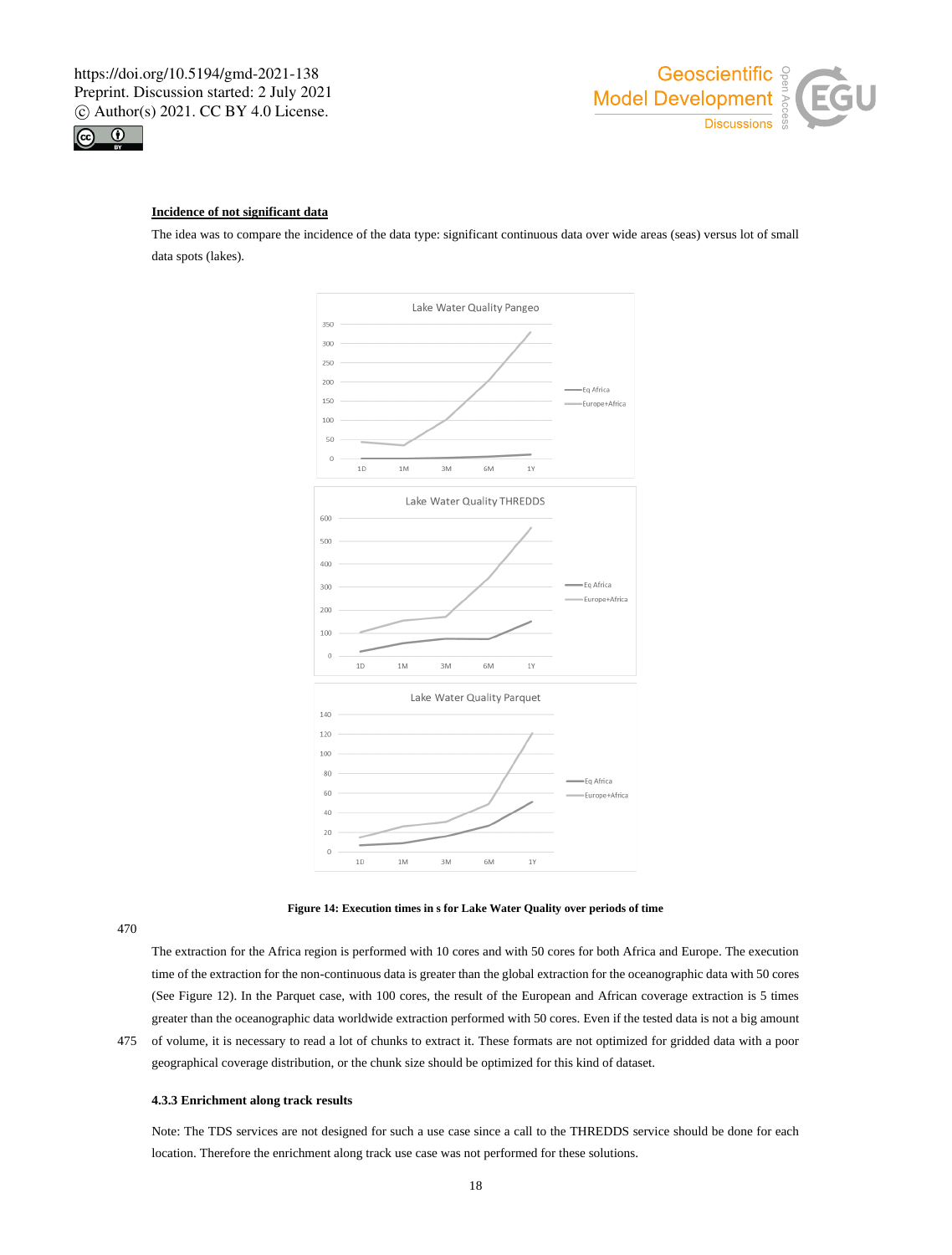



# **Incidence of not significant data**

The idea was to compare the incidence of the data type: significant continuous data over wide areas (seas) versus lot of small data spots (lakes).





470

The extraction for the Africa region is performed with 10 cores and with 50 cores for both Africa and Europe. The execution time of the extraction for the non-continuous data is greater than the global extraction for the oceanographic data with 50 cores (See Figure 12). In the Parquet case, with 100 cores, the result of the European and African coverage extraction is 5 times greater than the oceanographic data worldwide extraction performed with 50 cores. Even if the tested data is not a big amount

475 of volume, it is necessary to read a lot of chunks to extract it. These formats are not optimized for gridded data with a poor geographical coverage distribution, or the chunk size should be optimized for this kind of dataset.

## **4.3.3 Enrichment along track results**

Note: The TDS services are not designed for such a use case since a call to the THREDDS service should be done for each location. Therefore the enrichment along track use case was not performed for these solutions.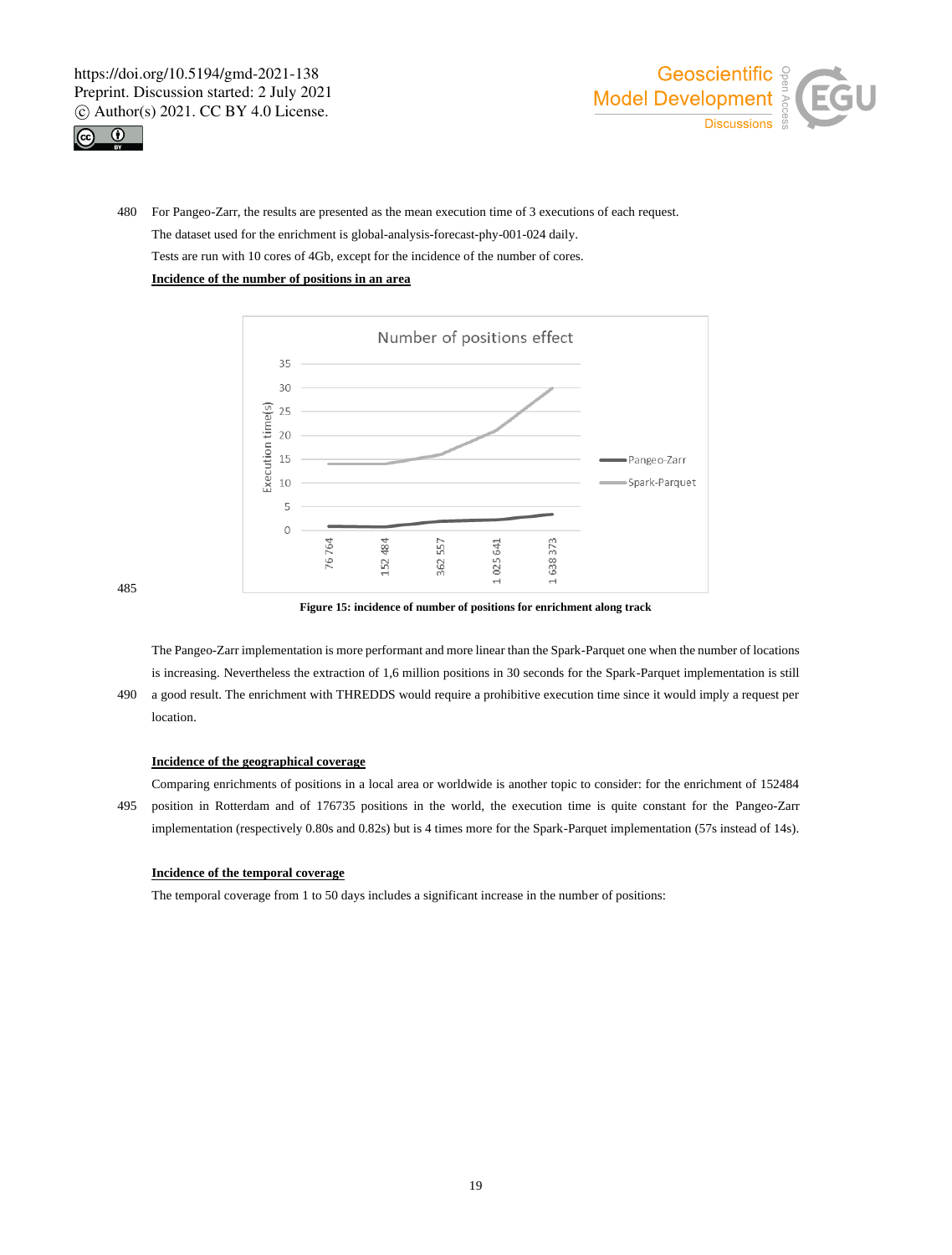



480 For Pangeo-Zarr, the results are presented as the mean execution time of 3 executions of each request. The dataset used for the enrichment is global-analysis-forecast-phy-001-024 daily. Tests are run with 10 cores of 4Gb, except for the incidence of the number of cores. **Incidence of the number of positions in an area**



485

**Figure 15: incidence of number of positions for enrichment along track**

The Pangeo-Zarr implementation is more performant and more linear than the Spark-Parquet one when the number of locations is increasing. Nevertheless the extraction of 1,6 million positions in 30 seconds for the Spark-Parquet implementation is still 490 a good result. The enrichment with THREDDS would require a prohibitive execution time since it would imply a request per location.

# **Incidence of the geographical coverage**

Comparing enrichments of positions in a local area or worldwide is another topic to consider: for the enrichment of 152484 495 position in Rotterdam and of 176735 positions in the world, the execution time is quite constant for the Pangeo-Zarr implementation (respectively 0.80s and 0.82s) but is 4 times more for the Spark-Parquet implementation (57s instead of 14s).

# **Incidence of the temporal coverage**

The temporal coverage from 1 to 50 days includes a significant increase in the number of positions: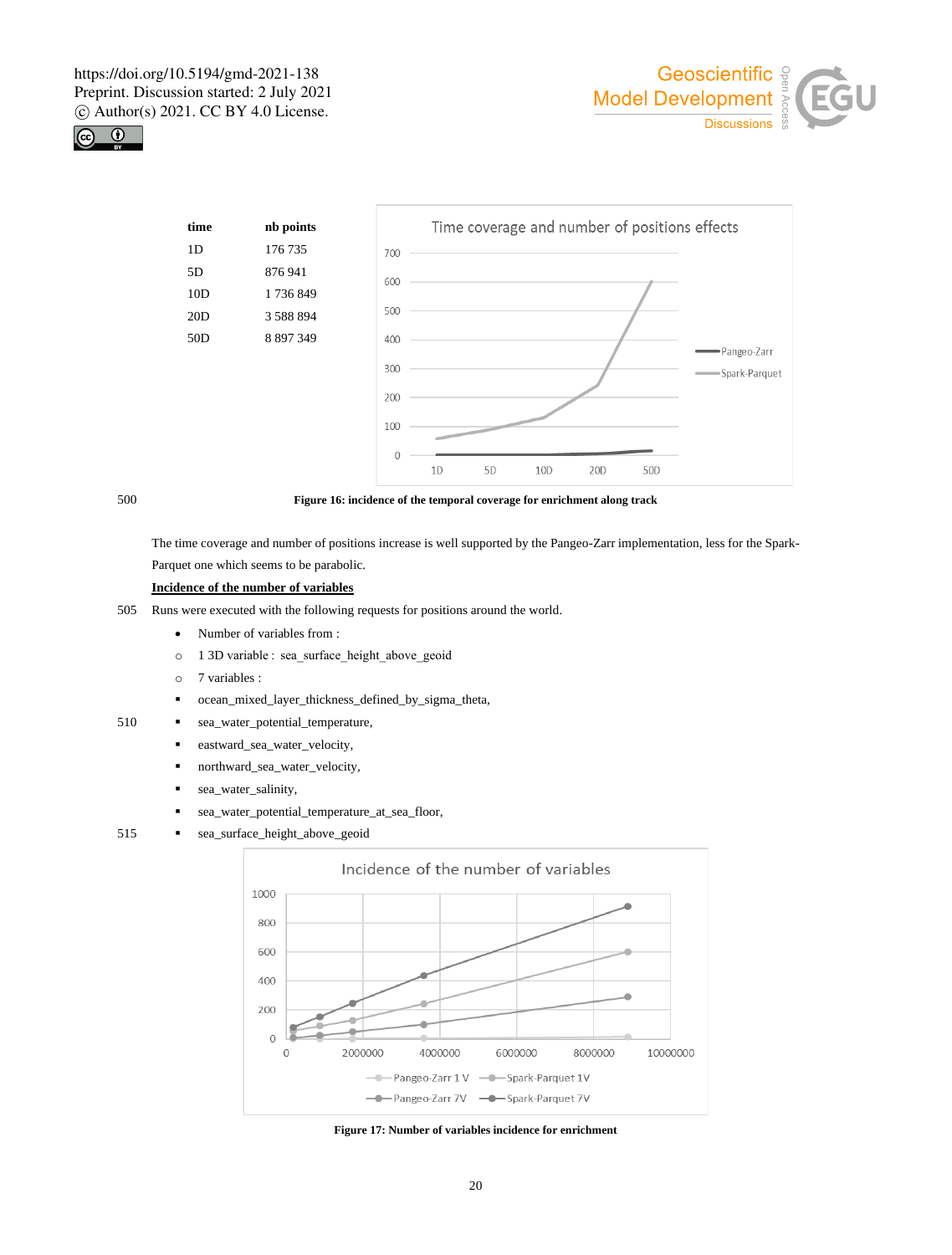





500 **Figure 16: incidence of the temporal coverage for enrichment along track**

The time coverage and number of positions increase is well supported by the Pangeo-Zarr implementation, less for the Spark-Parquet one which seems to be parabolic.

# **Incidence of the number of variables**

- 505 Runs were executed with the following requests for positions around the world.
	- Number of variables from :
	- o 1 3D variable :  sea\_surface\_height\_above\_geoid
	- o 7 variables :
	- ocean\_mixed\_layer\_thickness\_defined\_by\_sigma\_theta,
- 510 · sea\_water\_potential\_temperature,
	- eastward\_sea\_water\_velocity,
	- northward\_sea\_water\_velocity,
	- sea\_water\_salinity,
	- sea\_water\_potential\_temperature\_at\_sea\_floor,
- 515 · sea\_surface\_height\_above\_geoid



**Figure 17: Number of variables incidence for enrichment**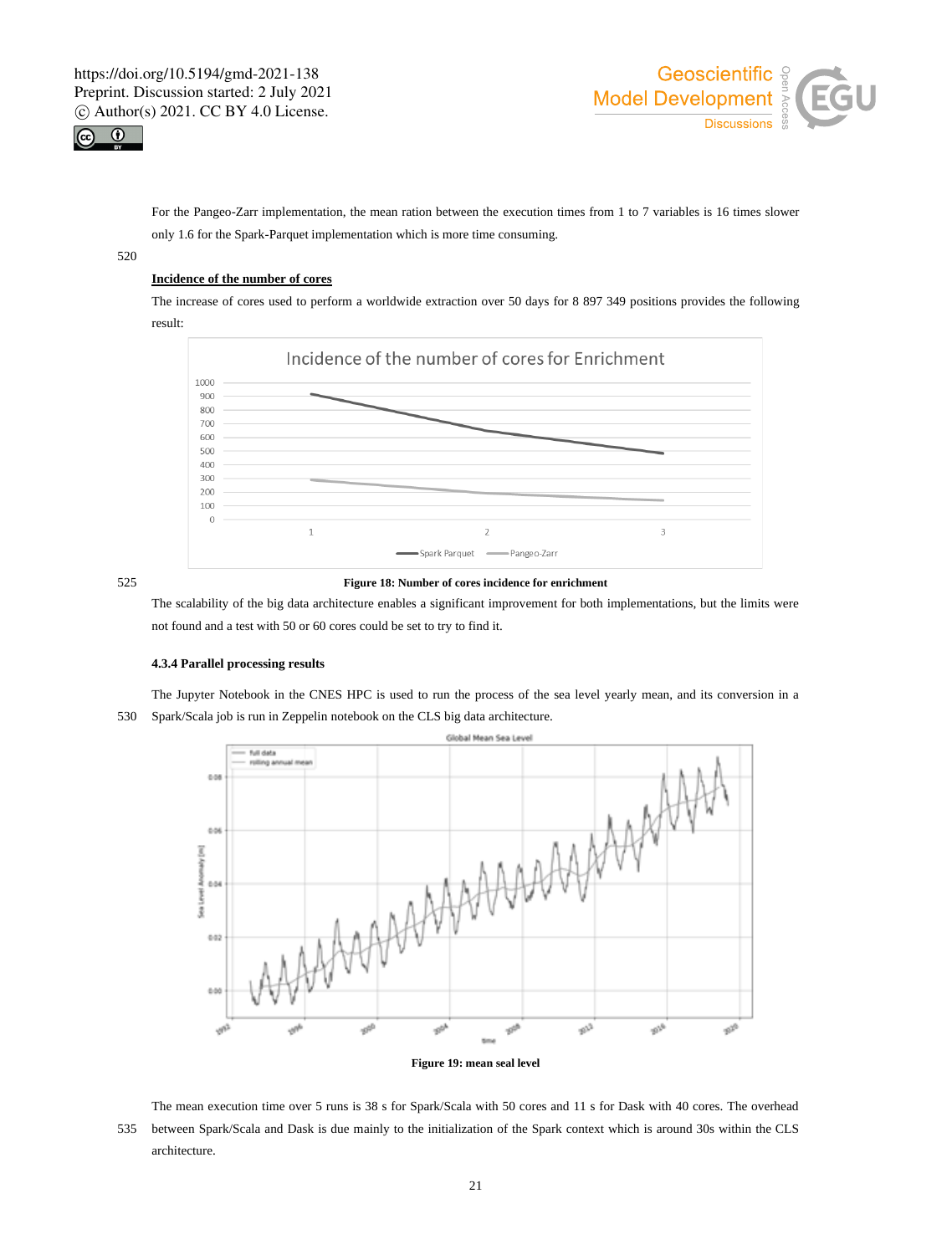



For the Pangeo-Zarr implementation, the mean ration between the execution times from 1 to 7 variables is 16 times slower only 1.6 for the Spark-Parquet implementation which is more time consuming.

520

# **Incidence of the number of cores**

The increase of cores used to perform a worldwide extraction over 50 days for 8 897 349 positions provides the following result:



# 525 **Figure 18: Number of cores incidence for enrichment**

The scalability of the big data architecture enables a significant improvement for both implementations, but the limits were not found and a test with 50 or 60 cores could be set to try to find it.

### **4.3.4 Parallel processing results**



The Jupyter Notebook in the CNES HPC is used to run the process of the sea level yearly mean, and its conversion in a 530 Spark/Scala job is run in Zeppelin notebook on the CLS big data architecture.

The mean execution time over 5 runs is 38 s for Spark/Scala with 50 cores and 11 s for Dask with 40 cores. The overhead 535 between Spark/Scala and Dask is due mainly to the initialization of the Spark context which is around 30s within the CLS architecture.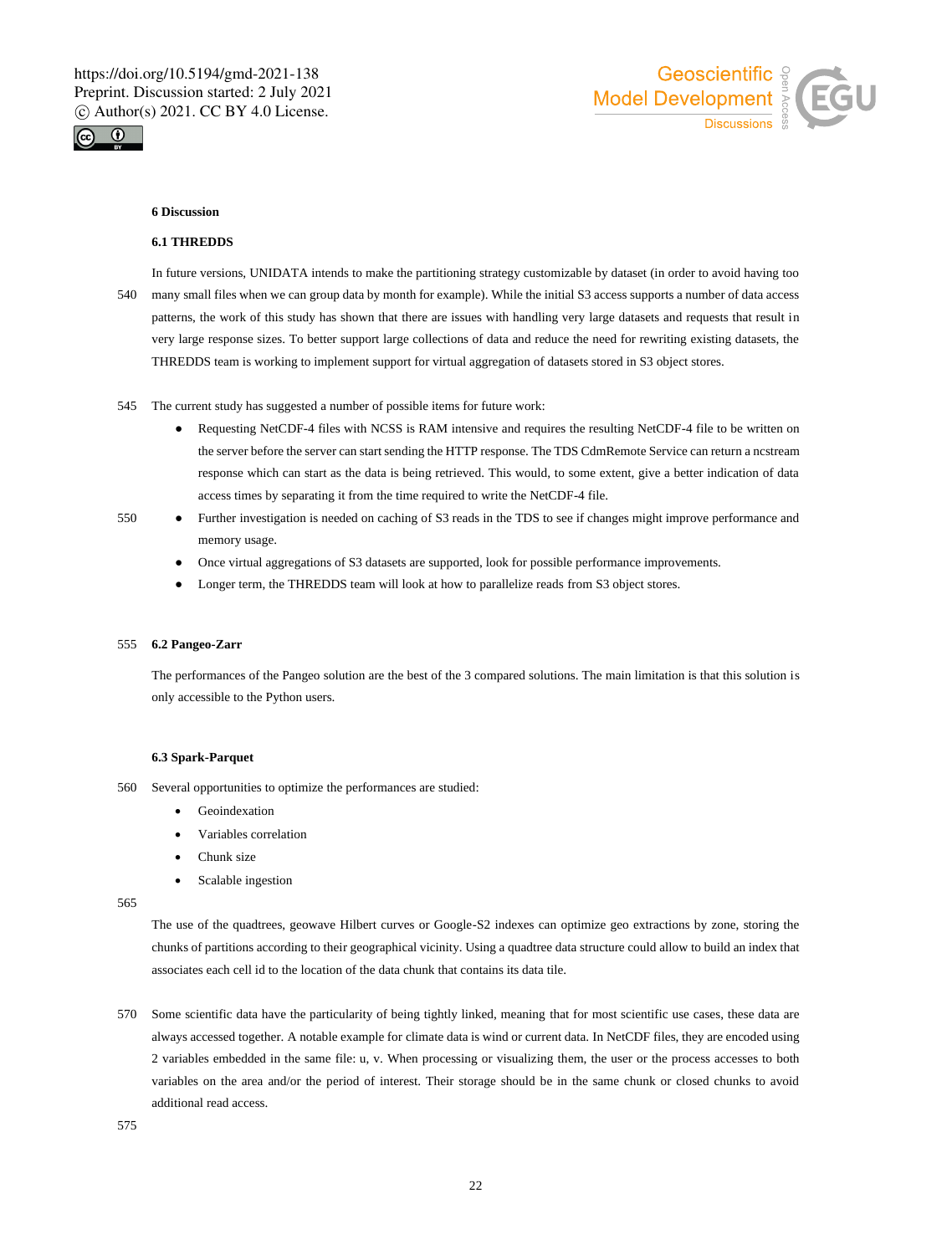



### **6 Discussion**

### **6.1 THREDDS**

In future versions, UNIDATA intends to make the partitioning strategy customizable by dataset (in order to avoid having too 540 many small files when we can group data by month for example). While the initial S3 access supports a number of data access patterns, the work of this study has shown that there are issues with handling very large datasets and requests that result in very large response sizes. To better support large collections of data and reduce the need for rewriting existing datasets, the THREDDS team is working to implement support for virtual aggregation of datasets stored in S3 object stores.

- 545 The current study has suggested a number of possible items for future work:
	- Requesting NetCDF-4 files with NCSS is RAM intensive and requires the resulting NetCDF-4 file to be written on the server before the server can start sending the HTTP response. The TDS CdmRemote Service can return a ncstream response which can start as the data is being retrieved. This would, to some extent, give a better indication of data access times by separating it from the time required to write the NetCDF-4 file.
- 550 Further investigation is needed on caching of S3 reads in the TDS to see if changes might improve performance and memory usage.
	- Once virtual aggregations of S3 datasets are supported, look for possible performance improvements.
	- Longer term, the THREDDS team will look at how to parallelize reads from S3 object stores.

### 555 **6.2 Pangeo-Zarr**

The performances of the Pangeo solution are the best of the 3 compared solutions. The main limitation is that this solution is only accessible to the Python users.

### **6.3 Spark-Parquet**

- 560 Several opportunities to optimize the performances are studied:
	- **Geoindexation**
	- Variables correlation
	- Chunk size
	- Scalable ingestion

565

The use of the quadtrees, geowave Hilbert curves or Google-S2 indexes can optimize geo extractions by zone, storing the chunks of partitions according to their geographical vicinity. Using a quadtree data structure could allow to build an index that associates each cell id to the location of the data chunk that contains its data tile.

570 Some scientific data have the particularity of being tightly linked, meaning that for most scientific use cases, these data are always accessed together. A notable example for climate data is wind or current data. In NetCDF files, they are encoded using 2 variables embedded in the same file: u, v. When processing or visualizing them, the user or the process accesses to both variables on the area and/or the period of interest. Their storage should be in the same chunk or closed chunks to avoid additional read access.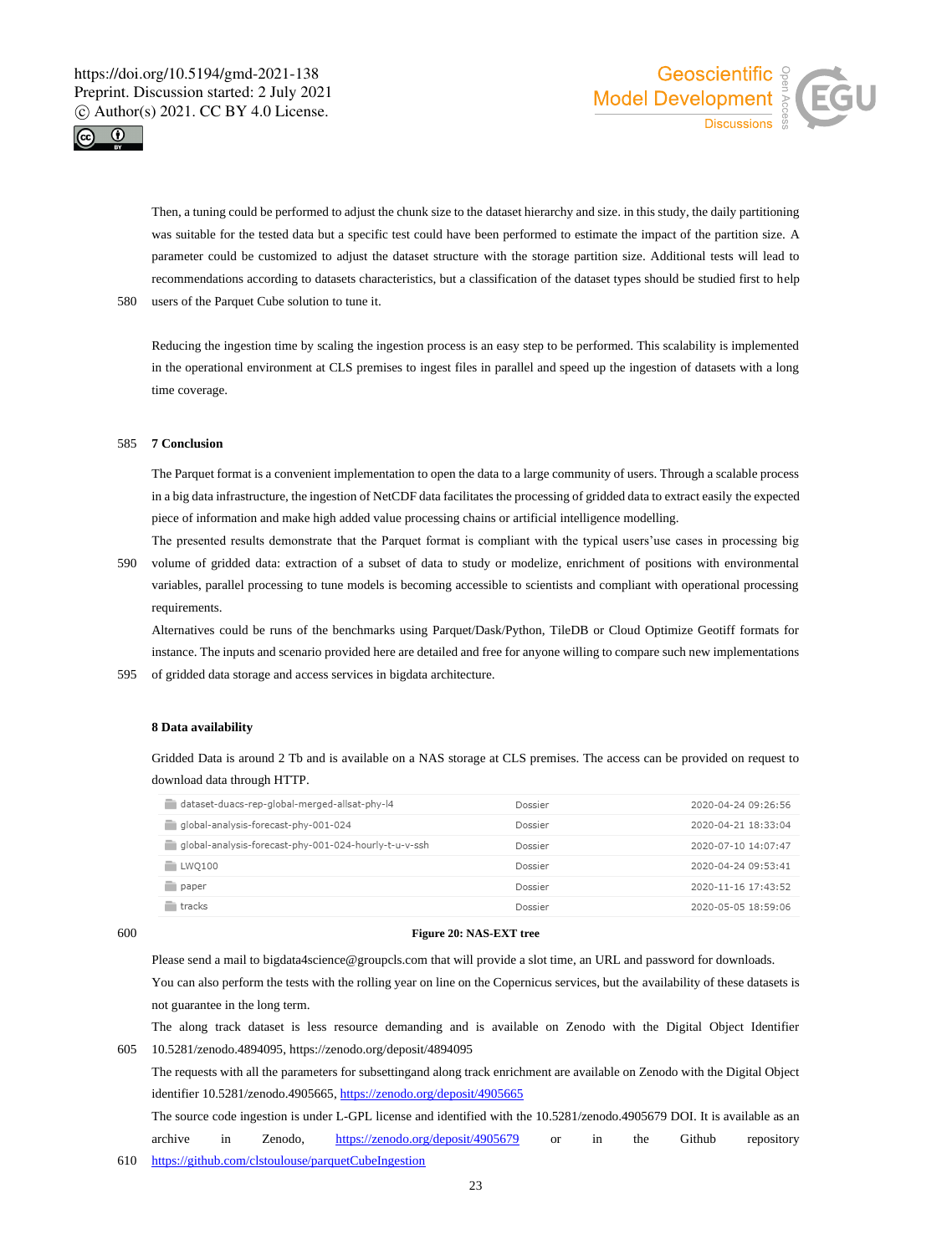



Then, a tuning could be performed to adjust the chunk size to the dataset hierarchy and size. in this study, the daily partitioning was suitable for the tested data but a specific test could have been performed to estimate the impact of the partition size. A parameter could be customized to adjust the dataset structure with the storage partition size. Additional tests will lead to recommendations according to datasets characteristics, but a classification of the dataset types should be studied first to help 580 users of the Parquet Cube solution to tune it.

Reducing the ingestion time by scaling the ingestion process is an easy step to be performed. This scalability is implemented in the operational environment at CLS premises to ingest files in parallel and speed up the ingestion of datasets with a long time coverage.

### 585 **7 Conclusion**

The Parquet format is a convenient implementation to open the data to a large community of users. Through a scalable process in a big data infrastructure, the ingestion of NetCDF data facilitates the processing of gridded data to extract easily the expected piece of information and make high added value processing chains or artificial intelligence modelling.

The presented results demonstrate that the Parquet format is compliant with the typical users'use cases in processing big 590 volume of gridded data: extraction of a subset of data to study or modelize, enrichment of positions with environmental variables, parallel processing to tune models is becoming accessible to scientists and compliant with operational processing requirements.

Alternatives could be runs of the benchmarks using Parquet/Dask/Python, TileDB or Cloud Optimize Geotiff formats for instance. The inputs and scenario provided here are detailed and free for anyone willing to compare such new implementations 595 of gridded data storage and access services in bigdata architecture.

### **8 Data availability**

Gridded Data is around 2 Tb and is available on a NAS storage at CLS premises. The access can be provided on request to download data through HTTP.

| dataset-duacs-rep-global-merged-allsat-phy-l4         | Dossier | 2020-04-24 09:26:56 |
|-------------------------------------------------------|---------|---------------------|
| global-analysis-forecast-phy-001-024                  | Dossier | 2020-04-21 18:33:04 |
| qlobal-analysis-forecast-phy-001-024-hourly-t-u-v-ssh | Dossier | 2020-07-10 14:07:47 |
| <b>ELWO100</b>                                        | Dossier | 2020-04-24 09:53:41 |
| paper                                                 | Dossier | 2020-11-16 17:43:52 |
| tracks                                                | Dossier | 2020-05-05 18:59:06 |
|                                                       |         |                     |

## 600 **Figure 20: NAS-EXT tree**

Please send a mail to bigdata4science@groupcls.com that will provide a slot time, an URL and password for downloads. You can also perform the tests with the rolling year on line on the Copernicus services, but the availability of these datasets is not guarantee in the long term.

The along track dataset is less resource demanding and is available on Zenodo with the Digital Object Identifier 605 10.5281/zenodo.4894095, https://zenodo.org/deposit/4894095

The requests with all the parameters for subsettingand along track enrichment are available on Zenodo with the Digital Object identifier 10.5281/zenodo.4905665, https://zenodo.org/deposit/4905665

The source code ingestion is under L-GPL license and identified with the 10.5281/zenodo.4905679 DOI. It is available as an archive in Zenodo, https://zenodo.org/deposit/4905679 or in the Github repository 610 https://github.com/clstoulouse/parquetCubeIngestion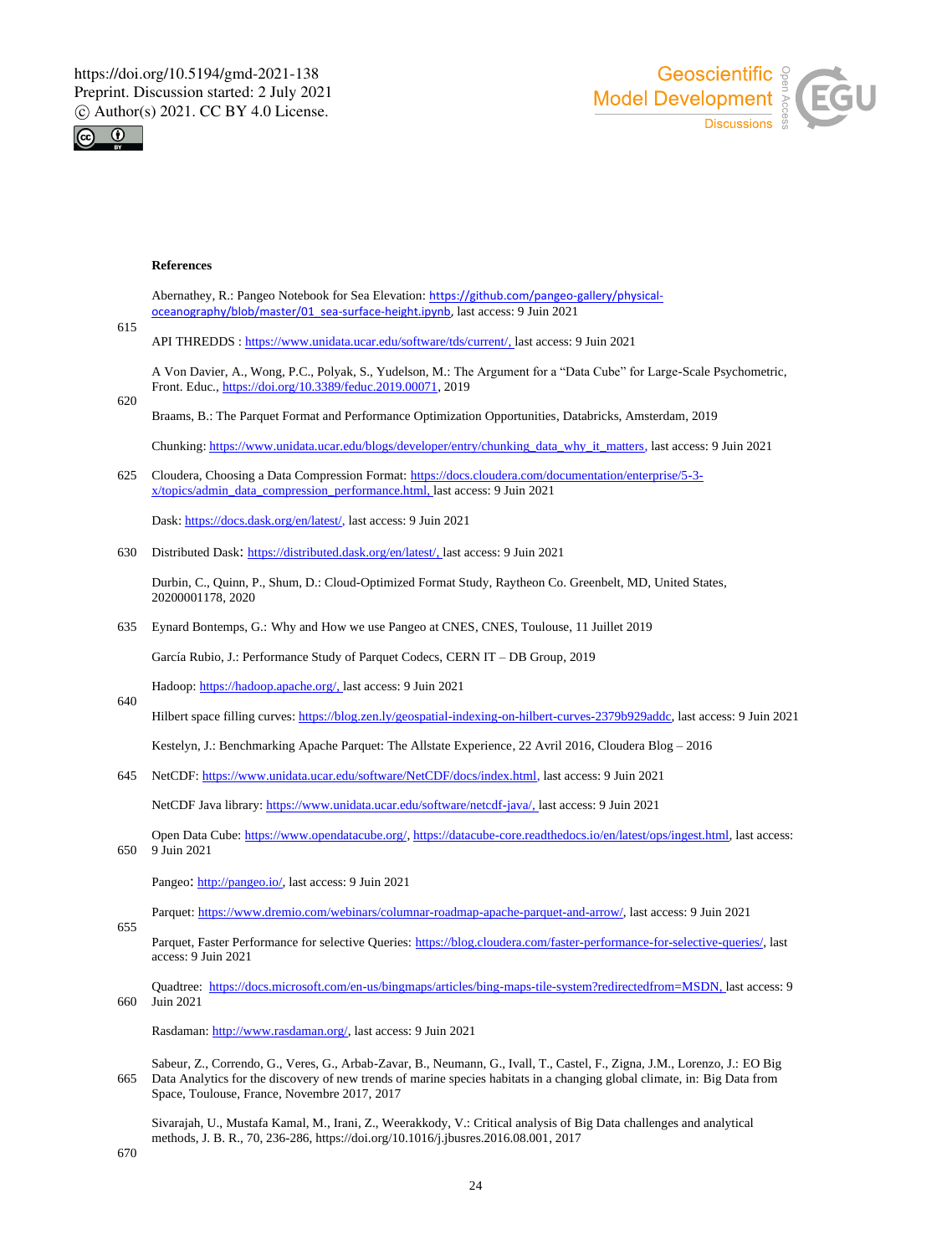



### **References**

Abernathey, R.: Pangeo Notebook for Sea Elevation: https://github.com/pangeo-gallery/physicaloceanography/blob/master/01\_sea-surface-height.ipynb, last access: 9 Juin 2021

615

API THREDDS : https://www.unidata.ucar.edu/software/tds/current/, last access: 9 Juin 2021

A Von Davier, A., Wong, P.C., Polyak, S., Yudelson, M.: The Argument for a "Data Cube" for Large-Scale Psychometric, Front. Educ., https://doi.org/10.3389/feduc.2019.00071, 2019

620

640

655

Braams, B.: The Parquet Format and Performance Optimization Opportunities, Databricks, Amsterdam, 2019

Chunking: https://www.unidata.ucar.edu/blogs/developer/entry/chunking\_data\_why\_it\_matters, last access: 9 Juin 2021

625 Cloudera, Choosing a Data Compression Format: https://docs.cloudera.com/documentation/enterprise/5-3 x/topics/admin\_data\_compression\_performance.html, last access: 9 Juin 2021

Dask: https://docs.dask.org/en/latest/, last access: 9 Juin 2021

630 Distributed Dask: https://distributed.dask.org/en/latest/, last access: 9 Juin 2021

Durbin, C., Quinn, P., Shum, D.: Cloud-Optimized Format Study, Raytheon Co. Greenbelt, MD, United States, 20200001178, 2020

635 Eynard Bontemps, G.: Why and How we use Pangeo at CNES, CNES, Toulouse, 11 Juillet 2019

García Rubio, J.: Performance Study of Parquet Codecs, CERN IT – DB Group, 2019

Hadoop: https://hadoop.apache.org/, last access: 9 Juin 2021

Hilbert space filling curves: https://blog.zen.ly/geospatial-indexing-on-hilbert-curves-2379b929addc, last access: 9 Juin 2021

Kestelyn, J.: Benchmarking Apache Parquet: The Allstate Experience, 22 Avril 2016, Cloudera Blog – 2016

645 NetCDF: https://www.unidata.ucar.edu/software/NetCDF/docs/index.html, last access: 9 Juin 2021

NetCDF Java library: https://www.unidata.ucar.edu/software/netcdf-java/, last access: 9 Juin 2021

Open Data Cube: https://www.opendatacube.org/, https://datacube-core.readthedocs.io/en/latest/ops/ingest.html, last access: 650 9 Juin 2021

Pangeo: http://pangeo.io/, last access: 9 Juin 2021

Parquet: https://www.dremio.com/webinars/columnar-roadmap-apache-parquet-and-arrow/, last access: 9 Juin 2021

Parquet, Faster Performance for selective Queries: https://blog.cloudera.com/faster-performance-for-selective-queries/, last access: 9 Juin 2021

Quadtree: https://docs.microsoft.com/en-us/bingmaps/articles/bing-maps-tile-system?redirectedfrom=MSDN, last access: 9 660 Juin 2021

Rasdaman: http://www.rasdaman.org/, last access: 9 Juin 2021

Sabeur, Z., Correndo, G., Veres, G., Arbab-Zavar, B., Neumann, G., Ivall, T., Castel, F., Zigna, J.M., Lorenzo, J.: EO Big 665 Data Analytics for the discovery of new trends of marine species habitats in a changing global climate, in: Big Data from Space, Toulouse, France, Novembre 2017, 2017

Sivarajah, U., Mustafa Kamal, M., Irani, Z., Weerakkody, V.: Critical analysis of Big Data challenges and analytical methods, J. B. R., 70, 236-286, https://doi.org/10.1016/j.jbusres.2016.08.001, 2017

670